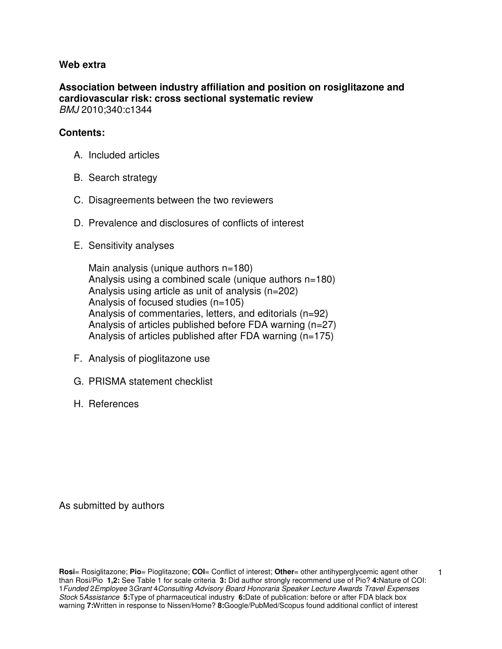#### **Web extra**

**Association between industry affiliation and position on rosiglitazone and cardiovascular risk: cross sectional systematic review**  BMJ 2010;340:c1344

#### **Contents:**

- A. Included articles
- B. Search strategy
- C. Disagreements between the two reviewers
- D. Prevalence and disclosures of conflicts of interest
- E. Sensitivity analyses

 Main analysis (unique authors n=180) Analysis using a combined scale (unique authors n=180) Analysis using article as unit of analysis (n=202) Analysis of focused studies (n=105) Analysis of commentaries, letters, and editorials (n=92) Analysis of articles published before FDA warning (n=27) Analysis of articles published after FDA warning (n=175)

- F. Analysis of pioglitazone use
- G. PRISMA statement checklist
- H. References

As submitted by authors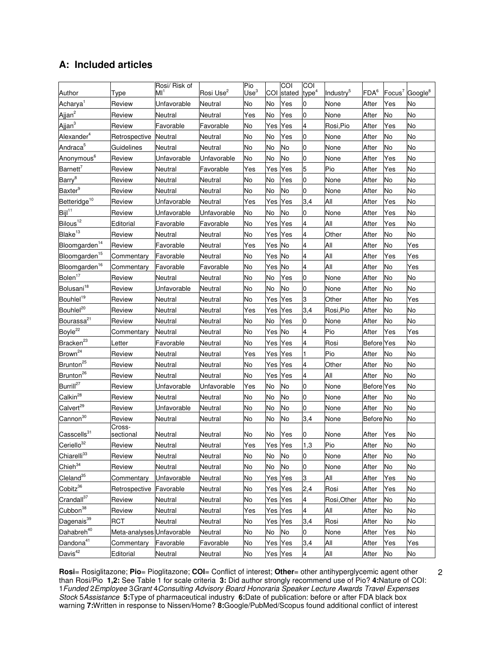# **A: Included articles**

|                           |                           | Rosi/ Risk of |                       | Pio              |         | COI        | <b>COI</b>        |                       | FDA <sup>6</sup>  |           |                                        |
|---------------------------|---------------------------|---------------|-----------------------|------------------|---------|------------|-------------------|-----------------------|-------------------|-----------|----------------------------------------|
| Author                    | Type                      | Мľ            | Rosi Use <sup>2</sup> | Use <sup>3</sup> |         | COI stated | type <sup>4</sup> | Industry <sup>5</sup> |                   |           | Focus <sup>7</sup> Google <sup>8</sup> |
| Acharya <sup>1</sup>      | Review                    | Unfavorable   | Neutral               | No               | No      | Yes        | 0                 | None                  | After             | Yes       | No                                     |
| Ajjan <sup>2</sup>        | Review                    | Neutral       | Neutral               | Yes              | No      | Yes        | <b>O</b>          | None                  | After             | No        | No                                     |
| Ajjan <sup>3</sup>        | Review                    | Favorable     | Favorable             | No               | Yes     | Yes        | 4                 | Rosi,Pio              | After             | Yes       | No                                     |
| Alexander <sup>4</sup>    | Retrospective             | Neutral       | Neutral               | No               | No      | Yes        | 0                 | None                  | After             | No        | No                                     |
| Andraca <sup>5</sup>      | Guidelines                | Neutral       | Neutral               | No               | No      | No         | 0                 | None                  | After             | No        | No                                     |
| Anonymous <sup>6</sup>    | Review                    | Unfavorable   | Unfavorable           | No               | No      | No         | 0                 | None                  | After             | Yes       | No                                     |
| Barnett <sup>7</sup>      | Review                    | Neutral       | Favorable             | Yes              | Yes     | Yes        | 5                 | Pio                   | After             | Yes       | No                                     |
| Barry <sup>8</sup>        | Review                    | Neutral       | Neutral               | No               | No      | Yes        | 0                 | None                  | After             | No        | No                                     |
| Baxter <sup>9</sup>       | Review                    | Neutral       | Neutral               | No               | No      | No         | 0                 | None                  | After             | No        | No                                     |
| Betteridge <sup>10</sup>  | Review                    | Unfavorable   | Neutral               | Yes              | Yes     | Yes        | 3,4               | All                   | After             | Yes       | No                                     |
| $Bijl^{11}$               | Review                    | Unfavorable   | Unfavorable           | No               | No      | No         | 0                 | None                  | After             | Yes       | No                                     |
| Bilous <sup>12</sup>      | Editorial                 | Favorable     | Favorable             | No               | Yes Yes |            | 4                 | All                   | After             | Yes       | No                                     |
| Blake <sup>13</sup>       | Review                    | Neutral       | Neutral               | No               | Yes     | Yes        | 4                 | Other                 | After             | No        | No                                     |
| Bloomgarden <sup>14</sup> | Review                    | Favorable     | Neutral               | Yes              | Yes     | No         | 4                 | All                   | After             | No        | Yes                                    |
| Bloomgarden <sup>15</sup> | Commentary                | Favorable     | Neutral               | No               | Yes     | No         | 4                 | All                   | After             | Yes       | Yes                                    |
| Bloomgarden <sup>16</sup> | Commentary                | Favorable     | Favorable             | No               | Yes     | No         | $\overline{4}$    | All                   | After             | No        | Yes                                    |
| Bolen <sup>17</sup>       | Review                    | Neutral       | Neutral               | No               | No      | Yes        | 0                 | None                  | After             | No        | No                                     |
| Bolusani <sup>18</sup>    | Review                    | Unfavorable   | Neutral               | No               | No      | No         | 0                 | None                  | After             | No        | No                                     |
| Bouhlel <sup>19</sup>     | Review                    | Neutral       | Neutral               | No               | Yes     | Yes        | З                 | Other                 | After             | No        | Yes                                    |
| Bouhlel <sup>20</sup>     | Review                    | Neutral       | Neutral               | Yes              | Yes     | Yes        | 3,4               | Rosi.Pio              | After             | No        | No                                     |
| Bourassa <sup>21</sup>    | Review                    | Neutral       | Neutral               | No               | No      | Yes        | <b>O</b>          | None                  | After             | No        | No                                     |
| Boyle <sup>22</sup>       | Commentary                | Neutral       | Neutral               | No               | Yes     | No         | 4                 | Pio                   | After             | Yes       | Yes                                    |
| Bracken <sup>23</sup>     | ∟etter                    | Favorable     | Neutral               | No               | Yes     | Yes        | 4                 | Rosi                  | <b>Before</b> Yes |           | No                                     |
| Brown <sup>24</sup>       | Review                    | Neutral       | Neutral               | Yes              | Yes     | Yes        |                   | Pio                   | After             | No        | No                                     |
| Brunton <sup>25</sup>     | Review                    | Neutral       | Neutral               | No               | Yes     | Yes        | 4                 | Other                 | After             | No        | No                                     |
| Brunton <sup>26</sup>     | Review                    | Neutral       | Neutral               | No               | Yes Yes |            | 4                 | All                   | After             | No        | No                                     |
| Burrill <sup>27</sup>     | Review                    | Unfavorable   | Unfavorable           | Yes              | No      | No         | 0                 | None                  | Before Yes        |           | No                                     |
| Calkin <sup>28</sup>      | Review                    | Neutral       | Neutral               | No               | No      | No         | 0                 | None                  | After             | No        | No                                     |
| Calvert <sup>29</sup>     | Review                    | Unfavorable   | Neutral               | No               | No      | No         | 0                 | None                  | After             | No        | No                                     |
| Cannon <sup>30</sup>      | Review                    | Neutral       | Neutral               | No               | No      | No         | 3,4               | None                  | <b>Before</b> No  |           | No                                     |
| Casscells <sup>31</sup>   | Cross-<br>sectional       | Neutral       | Neutral               | No               | No      | Yes        | 0                 | None                  | After             | Yes       | No                                     |
| Ceriello <sup>32</sup>    | Review                    | Neutral       | Neutral               | Yes              | Yes Yes |            | 1,3               | Pio                   | After             | No        | No                                     |
| Chiarelli <sup>33</sup>   | Review                    | Neutral       | Neutral               | No               | No      | No         | $\overline{0}$    | None                  | After             | No        | No                                     |
| Chieh <sup>34</sup>       | Review                    | Neutral       | Neutral               | No               | No      | No         | 0                 | None                  | After             | No        | No                                     |
| $C$ leland $35$           | Commentary                | Unfavorable   | Neutral               | No               | Yes     | Yes        | 3                 | All                   | After             | Yes       | No                                     |
| Cobitz <sup>36</sup>      | Retrospective             | Favorable     | Neutral               | No               | Yes Yes |            | 2,4               | Rosi                  | After             | Yes       | No                                     |
| Crandall <sup>37</sup>    | Review                    | Neutral       | Neutral               | No               | Yes Yes |            | 4                 | Rosi, Other           | After             | No        | No                                     |
| Cubbon <sup>38</sup>      | Review                    | Neutral       | Neutral               | Yes              | Yes Yes |            | 4                 | All                   | After             | No        | No                                     |
| Dagenais <sup>39</sup>    | <b>RCT</b>                | Neutral       | Neutral               | No               | Yes Yes |            | 3,4               | Rosi                  | After             | No        | No                                     |
| Dahabreh <sup>40</sup>    | Meta-analyses Unfavorable |               | Neutral               | No               | No      | No         | O                 | None                  | After             | Yes       | No                                     |
| Dandona <sup>41</sup>     |                           | Favorable     | Favorable             | No               | Yes Yes |            | 3,4               | All                   | After             |           | Yes                                    |
| Davis <sup>42</sup>       | Commentary<br>Editorial   | Neutral       | Neutral               | No               | Yes Yes |            | 4                 | All                   | After             | Yes<br>No | No                                     |
|                           |                           |               |                       |                  |         |            |                   |                       |                   |           |                                        |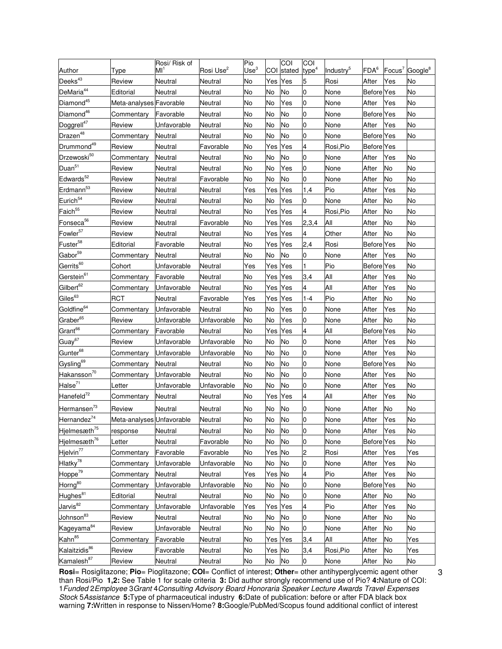|                           |                           | Rosi/ Risk of   |                       | Pio              |         | COI    | COI               |                       |                   |           |                     |
|---------------------------|---------------------------|-----------------|-----------------------|------------------|---------|--------|-------------------|-----------------------|-------------------|-----------|---------------------|
| Author                    | Type                      | MI <sup>1</sup> | Rosi Use <sup>2</sup> | Use <sup>3</sup> | COI     | stated | type <sup>4</sup> | Industry <sup>5</sup> | FDA <sup>6</sup>  | $Focus^7$ | Google <sup>8</sup> |
| Deeks <sup>43</sup>       | Review                    | Neutral         | Neutral               | No               | Yes Yes |        | 5                 | Rosi                  | After             | Yes       | No                  |
| DeMaria <sup>44</sup>     | Editorial                 | Neutral         | Neutral               | No               | No      | No     | 0                 | None                  | <b>Before</b> Yes |           | No                  |
| Diamond <sup>45</sup>     | Meta-analyses Favorable   |                 | Neutral               | No               | No      | Yes    | 0                 | None                  | After             | Yes       | No                  |
| Diamond <sup>46</sup>     | Commentary                | Favorable       | Neutral               | No               | No      | No     | 0                 | None                  | <b>Before</b> Yes |           | No                  |
| Doggrell <sup>47</sup>    | Review                    | Unfavorable     | Neutral               | No               | No      | No     | 0                 | None                  | After             | Yes       | No                  |
| Drazen <sup>48</sup>      | Commentary                | Neutral         | Neutral               | No               | No      | No     | 0                 | None                  | <b>Before</b> Yes |           | No                  |
| Drummond <sup>49</sup>    | Review                    | Neutral         | Favorable             | No               | Yes     | Yes    | 4                 | Rosi,Pio              | <b>Before</b> Yes |           |                     |
| Drzewoski50               | Commentary                | Neutral         | Neutral               | No               | No      | No     | 0                 | None                  | After             | Yes       | No                  |
| Duan <sup>51</sup>        | Review                    | Neutral         | Neutral               | No               | No      | Yes    | 0                 | None                  | After             | No        | No                  |
| Edwards <sup>52</sup>     | Review                    | Neutral         | Favorable             | No               | No      | No     | $\overline{0}$    | None                  | After             | No        | No                  |
| Erdmann <sup>53</sup>     | Review                    | Neutral         | Neutral               | Yes              | Yes     | Yes    | 1,4               | Pio                   | After             | Yes       | No                  |
| Eurich <sup>54</sup>      | Review                    | Neutral         | Neutral               | No               | No      | Yes    | 0                 | None                  | After             | No        | No                  |
| Faich <sup>55</sup>       | Review                    | Neutral         | Neutral               | No               | Yes     | Yes    | 4                 | Rosi,Pio              | After             | No        | No                  |
| Fonseca <sup>56</sup>     | Review                    | Neutral         | Favorable             | No               | Yes     | Yes    | 2,3,4             | All                   | After             | No        | No                  |
| Fowler <sup>57</sup>      | Review                    | Neutral         | Neutral               | No               | Yes     | Yes    | 4                 | Other                 | After             | No        | No                  |
| Fuster <sup>58</sup>      | Editorial                 | Favorable       | Neutral               | No               | Yes     | Yes    | 2,4               | Rosi                  | <b>Before</b> Yes |           | No                  |
| Gabor <sup>59</sup>       | Commentary                | Neutral         | Neutral               | No               | No      | No     | 0                 | None                  | After             | Yes       | No                  |
| Gerrits <sup>60</sup>     | Cohort                    | Unfavorable     | Neutral               | Yes              | Yes     | Yes    | 1                 | Pio                   | <b>Before</b> Yes |           | No                  |
| Gerstein <sup>61</sup>    | Commentary                | Favorable       | Neutral               | No               | Yes     | Yes    | 3,4               | All                   | After             | Yes       | No                  |
| Gilbert <sup>62</sup>     | Commentary                | Unfavorable     | Neutral               | No               | Yes     | Yes    | 4                 | All                   | After             | Yes       | No                  |
| Giles <sup>63</sup>       | <b>RCT</b>                | Neutral         | Favorable             | Yes              | Yes     | Yes    | $1 - 4$           | Pio                   | After             | No        | No                  |
| Goldfine <sup>64</sup>    | Commentary                | Unfavorable     | Neutral               | No               | No      | Yes    | 0                 | None                  | After             | Yes       | No                  |
| Graber <sup>65</sup>      | Review                    | Unfavorable     | Unfavorable           | No               | No      | Yes    | 0                 | None                  | After             | No        | No                  |
| Grant <sup>66</sup>       | Commentary                | Favorable       | Neutral               | No               | Yes     | Yes    | 4                 | All                   | <b>Before</b> Yes |           | No                  |
| Guay <sup>67</sup>        | Review                    | Unfavorable     | Unfavorable           | No               | No      | No     | 0                 | None                  | After             | Yes       | No                  |
| Gunter <sup>68</sup>      | Commentary                | Unfavorable     | Unfavorable           | No               | No      | No     | 0                 | None                  | After             | Yes       | No                  |
| Gysling <sup>69</sup>     | Commentary                | Neutral         | Neutral               | No               | No      | No     | 0                 | None                  | Before            | Yes       | No                  |
| Hakansson <sup>70</sup>   | Commentary                | Unfavorable     | Neutral               | No               | No      | No     | 0                 | None                  | After             | Yes       | No                  |
| Halse <sup>71</sup>       | Letter                    | Unfavorable     | Unfavorable           | No               | No      | No     | 0                 | None                  | After             | Yes       | No                  |
| Hanefeld <sup>72</sup>    | Commentary                | Neutral         | Neutral               | No               | Yes     | Yes    | 4                 | All                   | After             | Yes       | No                  |
| Hermansen <sup>73</sup>   | Review                    | Neutral         | Neutral               | No               | No      | No     | 0                 | None                  | After             | No        | No                  |
| Hernandez <sup>74</sup>   | Meta-analyses Unfavorable |                 | Neutral               | No               | No      | No     | 0                 | None                  | After             | Yes       | No                  |
| Hjelmesæth <sup>75</sup>  | response                  | Neutral         | Neutral               | <b>No</b>        | No      | No     | $\overline{0}$    | None                  | After             | Yes       | No                  |
| Hjelmesæth <sup>76</sup>  | Letter                    | Neutral         | Favorable             | No               | No      | No     | 0                 | None                  | <b>Before</b> Yes |           | No                  |
| Hjelvin <sup>77</sup>     | Commentary                | Favorable       | Favorable             | No               | Yes No  |        | 2                 | Rosi                  | After             | Yes       | Yes                 |
| Hlatky <sup>78</sup>      | Commentary                | Unfavorable     | Unfavorable           | No               | No      | No     | 0                 | None                  | After             | Yes       | No                  |
| Hoppe <sup>79</sup>       | Commentary                | Neutral         | Neutral               | Yes              | Yes No  |        | 4                 | Pio                   | After             | Yes       | No                  |
| Horng <sup>80</sup>       |                           | Unfavorable     | Unfavorable           | No               | No      | No     | $\overline{0}$    | None                  | <b>Before</b> Yes |           | No                  |
| Hughes <sup>81</sup>      | Commentary<br>Editorial   | Neutral         |                       | No               | No      | No     | 0                 |                       | After             | No        | No                  |
| Jarvis <sup>82</sup>      |                           |                 | Neutral               |                  |         |        |                   | None                  |                   |           |                     |
|                           | Commentary                | Unfavorable     | Unfavorable           | Yes              | Yes     | Yes    | 4                 | Pio                   | After             | Yes       | No                  |
| Johnson <sup>83</sup>     | Review                    | Neutral         | Neutral               | No               | No      | No     | 0                 | None                  | After             | No        | No                  |
| Kageyama <sup>84</sup>    | Review                    | Unfavorable     | Neutral               | No               | No      | No     | 0                 | None                  | After             | No        | No                  |
| Kahn <sup>85</sup>        | <b>Commentary</b>         | Favorable       | Neutral               | No               | Yes Yes |        | 3,4               | All                   | After             | No        | Yes                 |
| Kalaitzidis <sup>86</sup> | Review                    | Favorable       | Neutral               | No               | Yes No  |        | 3,4               | Rosi,Pio              | After             | No        | Yes                 |
| Kamalesh <sup>87</sup>    | Review                    | Neutral         | Neutral               | No               | No      | No     | 0                 | None                  | After             | No        | No                  |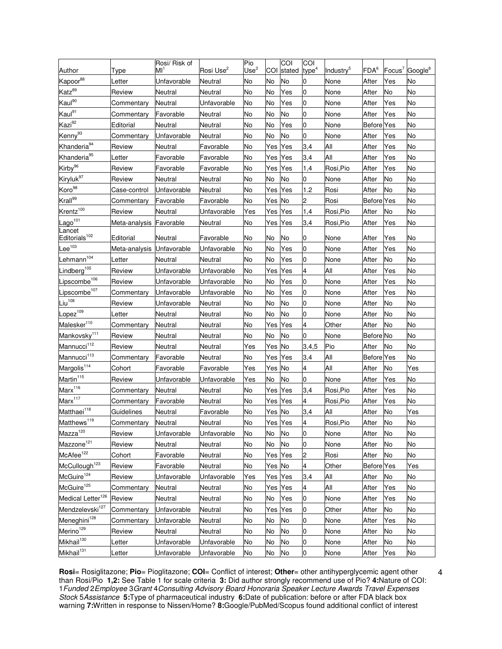|                                     |                           | Rosi/ Risk of   |                       | Pio              |         | COI       | COI               |                       |                   |           |                     |
|-------------------------------------|---------------------------|-----------------|-----------------------|------------------|---------|-----------|-------------------|-----------------------|-------------------|-----------|---------------------|
| Author                              | Type                      | MI <sup>1</sup> | Rosi Use <sup>2</sup> | Use <sup>3</sup> | COI     | stated    | type <sup>4</sup> | Industry <sup>5</sup> | FDA <sup>6</sup>  | Focus $7$ | Google <sup>8</sup> |
| Kapoor88                            | _etter                    | Unfavorable     | Neutral               | No               | No      | No        | 0                 | None                  | After             | Yes       | No                  |
| Katz <sup>89</sup>                  | Review                    | Neutral         | Neutral               | No               | No      | Yes       | 0                 | None                  | After             | No        | No                  |
| Kaul <sup>90</sup>                  | Commentary                | Neutral         | Unfavorable           | No               | No      | Yes       | 0                 | None                  | After             | Yes       | No                  |
| Kaul <sup>91</sup>                  | Commentary                | Favorable       | Neutral               | No               | No      | No        | 0                 | None                  | After             | Yes       | No                  |
| Kazi <sup>92</sup>                  | Editorial                 | Neutral         | Neutral               | No               | No      | Yes       | 0                 | None                  | <b>Before</b> Yes |           | No                  |
| Kenny <sup>93</sup>                 | Commentary                | Unfavorable     | Neutral               | No               | No      | No        | 0                 | None                  | After             | Yes       | No                  |
| Khanderia <sup>94</sup>             | Review                    | Neutral         | Favorable             | No               | Yes     | Yes       | 3,4               | All                   | After             | Yes       | No                  |
| Khanderia <sup>95</sup>             | _etter                    | Favorable       | Favorable             | No               | Yes     | Yes       | 3,4               | All                   | After             | Yes       | No                  |
| Kirby <sup>96</sup>                 | Review                    | Favorable       | Favorable             | No               | Yes     | Yes       | 1,4               | Rosi,Pio              | After             | Yes       | No                  |
| Kiryluk <sup>97</sup>               | Review                    | Neutral         | Neutral               | No               | No      | No        | l0                | None                  | After             | No        | No                  |
| Koro <sup>98</sup>                  | Case-control              | Unfavorable     | Neutral               | No               | Yes     | Yes       | 1.2               | Rosi                  | After             | No        | No                  |
| Krall <sup>99</sup>                 | Commentary                | Favorable       | Favorable             | No               | Yes     | No        | 2                 | Rosi                  | <b>Before</b> Yes |           | No                  |
| Krentz <sup>100</sup>               | Review                    | Neutral         | Unfavorable           | Yes              | Yes     | Yes       | 1,4               | Rosi,Pio              | After             | No        | No                  |
| Lago <sup>101</sup>                 | Meta-analysis Favorable   |                 | Neutral               | No               | Yes     | Yes       | 3,4               | Rosi,Pio              | After             | Yes       | No                  |
| Lancet<br>Editorials <sup>102</sup> | Editorial                 | Neutral         | Favorable             | No               | No      | No        | 0                 | None                  | After             | Yes       | No                  |
| $\mathsf{Lee}^{103}$                | Meta-analysis Unfavorable |                 | Unfavorable           | No               | No      | Yes       | $\overline{0}$    | None                  | After             | Yes       | No                  |
| Lehmann <sup>104</sup>              | Letter                    | Neutral         | Neutral               | No               | No      | Yes       | 0                 | None                  | After             | No        | No                  |
| Lindberg <sup>105</sup>             | Review                    | Unfavorable     | Unfavorable           | No               | Yes     | Yes       | 4                 | All                   | After             | Yes       | No                  |
| Lipscombe <sup>106</sup>            | Review                    | Unfavorable     | Unfavorable           | No               | No      | Yes       | 0                 | None                  | After             | Yes       | No                  |
| Lipscombe <sup>107</sup>            | Commentary                | Unfavorable     | Unfavorable           | No               | No      | Yes       | 0                 | None                  | After             | Yes       | No                  |
| $\overline{\text{Li}}u^{108}$       | Review                    | Unfavorable     | Neutral               | No               | No      | No        | 0                 | None                  | After             | No        | No                  |
| Lopez <sup>109</sup>                | Letter                    | Neutral         | Neutral               | No               | No      | No        | 0                 | None                  | After             | No        | No                  |
| Malesker <sup>110</sup>             | Commentary                | Neutral         | Neutral               | No               | Yes     | Yes       | 4                 | Other                 | After             | No        | No                  |
| Mankovsky <sup>111</sup>            | Review                    | Neutral         | Neutral               | No               | No      | No        | 0                 | None                  | Before No         |           | No                  |
| Mannucci <sup>112</sup>             | Review                    | Neutral         | Neutral               | Yes              | Yes     | No        | 3,4,5             | Pio                   | After             | No        | No                  |
| Mannucci <sup>113</sup>             | Commentary                | Favorable       | Neutral               | No               | Yes     | Yes       | 3,4               | All                   | <b>Before</b> Yes |           | No                  |
| Margolis <sup>114</sup>             | Cohort                    | Favorable       | Favorable             | Yes              | Yes     | No        | 4                 | All                   | After             | No        | Yes                 |
| Martin <sup>115</sup>               | Review                    | Unfavorable     | Unfavorable           | Yes              | No      | No        | 0                 | None                  | After             | Yes       | No                  |
| Marx <sup>116</sup>                 | Commentary                | Neutral         | Neutral               | No               | Yes     | Yes       | 3,4               | Rosi,Pio              | After             | Yes       | No                  |
| Marx <sup>117</sup>                 | Commentary                | Favorable       | Neutral               | No               | Yes Yes |           | 4                 | Rosi,Pio              | After             | Yes       | No                  |
| Matthaei <sup>118</sup>             | Guidelines                | Neutral         | Favorable             | No               | Yes No  |           | 3.4               | All                   | After             | No        | Yes                 |
| Matthews <sup>119</sup>             | Commentary                | Neutral         | Neutral               | No               | Yes Yes |           | 4                 | Rosi,Pio              | After             | <b>No</b> | No                  |
| Mazza <sup>120</sup>                | Review                    | Unfavorable     | Unfavorable           | No               | No      | No        | $\overline{0}$    | None                  | After             | No        | No                  |
| Mazzone <sup>121</sup>              | Review                    | Neutral         | Neutral               | No               | No      | <b>No</b> | $\overline{0}$    | None                  | After             | No        | No                  |
| McAfee <sup>122</sup>               | Cohort                    | Favorable       | Neutral               | No               | Yes Yes |           | 2                 | Rosi                  | After             | No        | No                  |
| McCullough <sup>123</sup>           | Review                    | Favorable       | Neutral               | No               | Yes No  |           | 4                 | Other                 | <b>Before</b> Yes |           | Yes                 |
| McGuire <sup>124</sup>              | Review                    | Unfavorable     | Unfavorable           | Yes              | Yes Yes |           | 3,4               | All                   | After             | No        | No                  |
| McGuire <sup>125</sup>              | Commentary                | Neutral         | Neutral               | No               | Yes Yes |           | 4                 | All                   | After             | Yes       | No                  |
| Medical Letter <sup>126</sup>       | Review                    | Neutral         | Neutral               | No               | No      | Yes       | $\overline{0}$    | None                  | After             | Yes       | No                  |
| Mendzelevski <sup>127</sup>         | Commentary                | Unfavorable     | Neutral               | No               | Yes Yes |           | $\overline{0}$    | Other                 | After             | No        | No                  |
| Meneghini <sup>128</sup>            | Commentary                | Unfavorable     | Neutral               | No               | No      | No        | 0                 | None                  | After             | Yes       | No                  |
| Merino <sup>129</sup>               | Review                    | Neutral         | Neutral               | No               | No      | No        | $\overline{0}$    | None                  | After             | No        | No                  |
| Mikhail <sup>130</sup>              | Letter                    | Unfavorable     | Unfavorable           | No               | No      | No        | 0                 | None                  | After             | No        | No                  |
| Mikhail <sup>131</sup>              | Letter                    | Unfavorable     | Unfavorable           | No               | No      | No        | 0                 | None                  | After             | Yes       | No                  |

4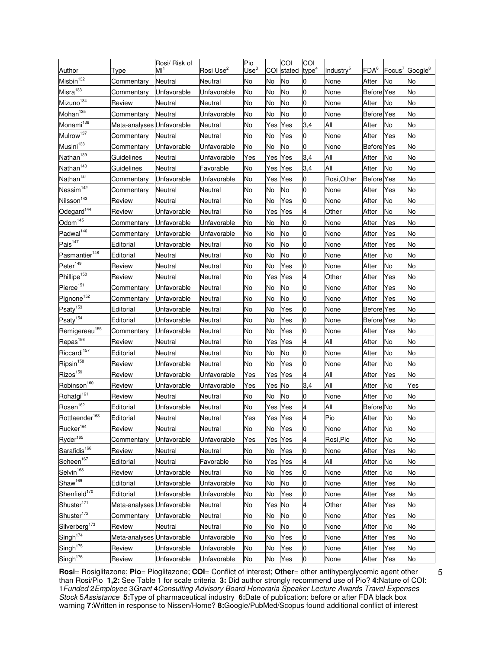|                            |                           | Rosi/ Risk of |                       | Pio              |        | g         | COI               |                       |                   |           |                     |
|----------------------------|---------------------------|---------------|-----------------------|------------------|--------|-----------|-------------------|-----------------------|-------------------|-----------|---------------------|
| Author                     | Type                      | Мľ            | Rosi Use <sup>2</sup> | Use <sup>3</sup> | COI    | stated    | type <sup>4</sup> | Industry <sup>5</sup> | FDA <sup>6</sup>  | Focus $7$ | Google <sup>8</sup> |
| Misbin <sup>132</sup>      | Commentary                | Neutral       | Neutral               | No               | No     | <b>No</b> | 0                 | None                  | After             | No        | No                  |
| Misra <sup>133</sup>       | Commentary                | Unfavorable   | Unfavorable           | No               | No     | No        | 0                 | None                  | <b>Before</b> Yes |           | No                  |
| Mizuno <sup>134</sup>      | Review                    | Neutral       | Neutral               | No               | No     | No        | 0                 | None                  | After             | No        | No                  |
| Mohan <sup>135</sup>       | Commentary                | Neutral       | Unfavorable           | No               | No     | No        | 0                 | None                  | <b>Before</b> Yes |           | No                  |
| Monami <sup>136</sup>      | Meta-analyses Unfavorable |               | Neutral               | No               | Yes    | Yes       | 3,4               | All                   | After             | No        | No                  |
| Mulrow <sup>137</sup>      | Commentary                | Neutral       | Neutral               | No               | No     | Yes       | $\overline{0}$    | None                  | After             | Yes       | No                  |
| Musini <sup>138</sup>      | Commentary                | Unfavorable   | Unfavorable           | No               | No     | No        | 0                 | None                  | <b>Before</b> Yes |           | No                  |
| Nathan <sup>139</sup>      | Guidelines                | Neutral       | Unfavorable           | Yes              | Yes    | Yes       | 3,4               | All                   | After             | No        | No                  |
| Nathan <sup>140</sup>      | Guidelines                | Neutral       | Favorable             | No               | Yes    | Yes       | 3,4               | All                   | After             | No        | No                  |
| Nathan <sup>141</sup>      | Commentary                | Unfavorable   | Unfavorable           | <b>No</b>        | Yes    | Yes       | 0                 | Rosi, Other           | <b>Before Yes</b> |           | No                  |
| Nessim <sup>142</sup>      | Commentary                | Neutral       | Neutral               | No               | No     | No        | $\overline{0}$    | None                  | After             | Yes       | No                  |
| Nilsson <sup>143</sup>     | Review                    | Neutral       | Neutral               | No               | No     | Yes       | 0                 | None                  | After             | No        | No                  |
| Odegard <sup>144</sup>     | Review                    | Unfavorable   | Neutral               | No               | Yes    | Yes       | 4                 | Other                 | After             | No        | No                  |
| Odom <sup>145</sup>        | Commentary                | Unfavorable   | Unfavorable           | No               | No     | No        | 0                 | None                  | After             | Yes       | No                  |
| Padwal <sup>146</sup>      | Commentary                | Unfavorable   | Unfavorable           | No               | No     | No        | 0                 | None                  | After             | Yes       | No                  |
| Pais <sup>147</sup>        | Editorial                 | Unfavorable   | Neutral               | No               | No     | No        | 0                 | None                  | After             | Yes       | No                  |
| Pasmantier <sup>148</sup>  | Editorial                 | Neutral       | Neutral               | No               | No     | No        | 0                 | None                  | After             | No        | No                  |
| Peter <sup>149</sup>       | Review                    | Neutral       | Neutral               | No               | No     | Yes       | 0                 | None                  | After             | No        | No                  |
| Phillipe <sup>150</sup>    | Review                    | Neutral       | Neutral               | No               | Yes    | Yes       | 4                 | Other                 | After             | Yes       | No                  |
| Pierce <sup>151</sup>      | Commentary                | Unfavorable   | Neutral               | No               | No     | No        | 0                 | None                  | After             | Yes       | No                  |
| Pignone <sup>152</sup>     | Commentary                | Unfavorable   | Neutral               | No               | No     | No        | 0                 | None                  | After             | Yes       | No                  |
| Psaty <sup>153</sup>       | Editorial                 | Unfavorable   | Neutral               | No               | No     | Yes       | 0                 | None                  | <b>Before</b> Yes |           | No                  |
| Psaty <sup>154</sup>       | Editorial                 | Unfavorable   | Neutral               | No               | No     | Yes       | 0                 | None                  | Before Yes        |           | No                  |
| Remigereau <sup>155</sup>  | Commentary                | Unfavorable   | Neutral               | No               | No     | Yes       | 0                 | None                  | After             | Yes       | No                  |
| Repas <sup>156</sup>       | Review                    | Neutral       | Neutral               | No               | Yes    | Yes       | 4                 | All                   | After             | No        | No                  |
| Riccardi <sup>157</sup>    | Editorial                 | Neutral       | Neutral               | No               | No     | No        | 0                 | None                  | After             | No        | No                  |
| Ripsin <sup>158</sup>      | Review                    | Unfavorable   | Neutral               | No               | No     | Yes       | 0                 | None                  | After             | No        | No                  |
| Rizos <sup>159</sup>       | Review                    | Unfavorable   | Unfavorable           | Yes              | Yes    | Yes       | 4                 | All                   | After             | Yes       | No                  |
| Robinson <sup>160</sup>    | Review                    | Unfavorable   | Unfavorable           | Yes              | Yes    | No        | 3,4               | All                   | After             | No        | Yes                 |
| Rohatgi <sup>161</sup>     | Review                    | Neutral       | Neutral               | No               | No     | No        | $\overline{0}$    | None                  | After             | No        | No                  |
| Rosen <sup>162</sup>       | Editorial                 | Unfavorable   | Neutral               | No               | Yes    | Yes       | 4                 | All                   | Before No         |           | No                  |
| Rottlaender <sup>163</sup> | Editorial                 | Neutral       | Neutral               | Yes              | Yes    | Yes       | 4                 | Pio                   | After             | No        | No                  |
| Rucker <sup>164</sup>      | Review                    | Neutral       | Neutral               | No               | No     | Yes       | $\overline{0}$    | None                  | After             | No        | No                  |
| Ryder <sup>165</sup>       | Commentary                | Unfavorable   | Unfavorable           | Yes              | Yes    | Yes       | 4                 | Rosi,Pio              | After             | No        | No                  |
| Sarafidis <sup>166</sup>   | Review                    | Neutral       | Neutral               | No               | No     | Yes       | $\overline{0}$    | None                  | After             | Yes       | No                  |
| Scheen <sup>167</sup>      | Editorial                 | Neutral       | Favorable             | No               | Yes    | Yes       | 4                 | All                   | After             | No        | No                  |
| Selvin <sup>168</sup>      | Review                    | Unfavorable   | Neutral               | No               | No     | Yes       | 0                 | None                  | After             | No        | No                  |
| Shaw <sup>169</sup>        | Editorial                 | Unfavorable   | Unfavorable           | No               | No     | No        | 0                 | None                  | After             | Yes       | No                  |
| Shenfield <sup>170</sup>   | Editorial                 | Unfavorable   | Unfavorable           | No               | No     | Yes       | 0                 | None                  | After             | Yes       | No                  |
| Shuster <sup>171</sup>     | Meta-analyses Unfavorable |               | Neutral               | No               | Yes No |           | 4                 | Other                 | After             | Yes       | No                  |
| Shuster <sup>172</sup>     | Commentary                | Unfavorable   | Neutral               | No               | No     | No        | 0                 | None                  | After             | Yes       | No                  |
| Silverberg <sup>173</sup>  | Review                    | Neutral       | Neutral               | No               | No     | No        | 0                 | None                  | After             | No        | No                  |
| Singh <sup>174</sup>       | Meta-analyses Unfavorable |               | Unfavorable           | No               | No     | Yes       | 0                 | None                  | After             | Yes       | No                  |
| Singh <sup>175</sup>       | Review                    | Unfavorable   | Unfavorable           | No               | No     | Yes       | 0                 | None                  | After             | Yes       | No                  |
| Singh <sup>176</sup>       | Review                    | Unfavorable   | Unfavorable           | No               | No     | Yes       | 0                 | <b>None</b>           | After             | Yes       | No                  |

5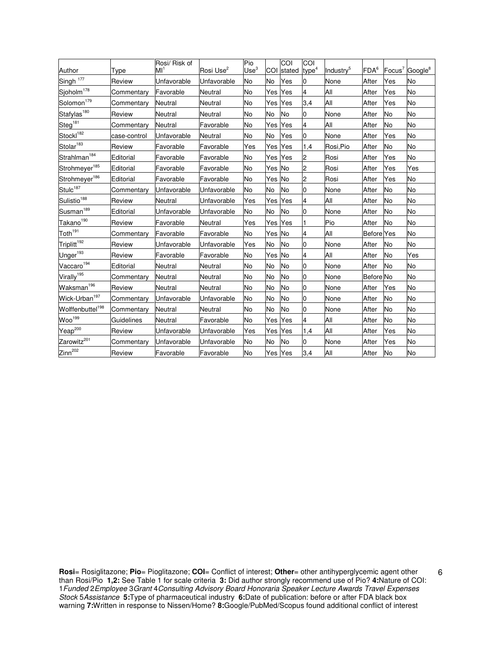| Author                       | Type         | Rosi/ Risk of<br>Мľ | Rosi Use <sup>2</sup> | Pio<br>Use <sup>3</sup> | COI     | COI<br>stated | COI<br>type <sup>4</sup> | Industry <sup>5</sup> | FDA <sup>6</sup>  | $Focus^7$ | Google <sup>8</sup> |
|------------------------------|--------------|---------------------|-----------------------|-------------------------|---------|---------------|--------------------------|-----------------------|-------------------|-----------|---------------------|
| Singh <sup>177</sup>         | Review       | Unfavorable         | Unfavorable           | No                      | No      | Yes           | 0                        | None                  | After             | Yes       | No                  |
| Sjoholm <sup>178</sup>       | Commentary   | Favorable           | Neutral               | No                      | Yes     | Yes           | 4                        | All                   | After             | Yes       | No                  |
| Solomon <sup>179</sup>       | Commentary   | Neutral             | Neutral               | No                      | Yes     | Yes           | 3,4                      | All                   | After             | Yes       | No                  |
| Stafylas <sup>180</sup>      | Review       | Neutral             | Neutral               | No                      | No      | <b>No</b>     | 0                        | <b>None</b>           | After             | No        | No                  |
| Steg <sup>181</sup>          | Commentary   | Neutral             | Favorable             | No                      | Yes     | Yes           | 4                        | All                   | After             | No        | No                  |
| Stockl <sup>182</sup>        | case-control | Unfavorable         | Neutral               | No                      | No      | Yes           | 0                        | None                  | After             | Yes       | No                  |
| Stolar <sup>183</sup>        | Review       | Favorable           | Favorable             | Yes                     | Yes     | Yes           | 1,4                      | Rosi,Pio              | After             | No        | No                  |
| Strahlman <sup>184</sup>     | Editorial    | Favorable           | Favorable             | No                      | Yes     | Yes           | $\overline{c}$           | Rosi                  | After             | Yes       | No                  |
| Strohmeyer <sup>185</sup>    | Editorial    | Favorable           | Favorable             | No                      | Yes No  |               | 2                        | Rosi                  | After             | Yes       | Yes                 |
| Strohmeyer <sup>186</sup>    | Editorial    | Favorable           | Favorable             | No                      | Yes No  |               | 2                        | Rosi                  | After             | Yes       | No                  |
| Stulc <sup>187</sup>         | Commentary   | <b>Unfavorable</b>  | Unfavorable           | No                      | No      | <b>No</b>     | 0                        | None                  | After             | No        | No                  |
| Sulistio <sup>188</sup>      | Review       | Neutral             | Unfavorable           | Yes                     | Yes     | Yes           | 4                        | All                   | After             | No        | No                  |
| Susman <sup>189</sup>        | Editorial    | Unfavorable         | Unfavorable           | No                      | No      | No            | IО                       | None                  | After             | No        | No                  |
| Takano <sup>190</sup>        | Review       | Favorable           | Neutral               | Yes                     | Yes     | Yes           |                          | Pio                   | After             | No        | No                  |
| Toth <sup>191</sup>          | Commentary   | Favorable           | Favorable             | No                      | Yes No  |               | 4                        | All                   | <b>Before</b> Yes |           | No                  |
| Triplitt <sup>192</sup>      | Review       | Unfavorable         | Unfavorable           | Yes                     | No      | No            | IО                       | None                  | After             | No        | No                  |
| Unger <sup>193</sup>         | Review       | Favorable           | Favorable             | No                      | Yes No  |               | 4                        | All                   | After             | No        | Yes                 |
| Vaccaro <sup>194</sup>       | Editorial    | Neutral             | Neutral               | No                      | No      | No            | 0                        | None                  | After             | <b>No</b> | No                  |
| Virally <sup>195</sup>       | Commentary   | Neutral             | Neutral               | No                      | No      | <b>No</b>     | $\overline{0}$           | None                  | <b>Before</b> No  |           | No                  |
| Waksman <sup>196</sup>       | Review       | Neutral             | Neutral               | No                      | No      | No            | IО                       | None                  | After             | Yes       | No                  |
| Wick-Urban <sup>197</sup>    | Commentary   | <b>Unfavorable</b>  | Unfavorable           | No                      | No      | No            | 0                        | None                  | After             | No        | No                  |
| Wolffenbuttel <sup>198</sup> | Commentary   | Neutral             | Neutral               | No                      | No      | <b>No</b>     | $\overline{0}$           | None                  | After             | No        | No                  |
| Woo <sup>199</sup>           | Guidelines   | Neutral             | Favorable             | <b>No</b>               | Yes     | Yes           | 4                        | All                   | After             | No        | No                  |
| Yeap <sup>200</sup>          | Review       | Unfavorable         | Unfavorable           | Yes                     | Yes     | Yes           | 1,4                      | All                   | After             | Yes       | No                  |
| Zarowitz <sup>201</sup>      | Commentary   | <b>Unfavorable</b>  | Unfavorable           | No                      | No      | <b>No</b>     | O                        | None                  | After             | Yes       | No                  |
| Zinn <sup>202</sup>          | Review       | Favorable           | Favorable             | No                      | Yes Yes |               | 3,4                      | All                   | After             | No        | No                  |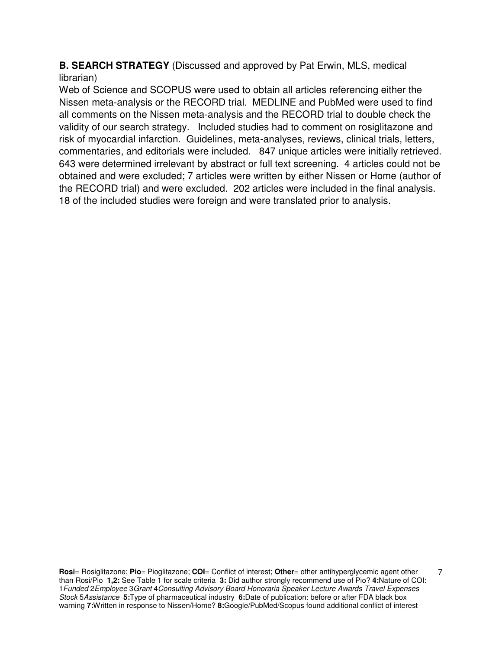**B. SEARCH STRATEGY** (Discussed and approved by Pat Erwin, MLS, medical librarian)

Web of Science and SCOPUS were used to obtain all articles referencing either the Nissen meta-analysis or the RECORD trial. MEDLINE and PubMed were used to find all comments on the Nissen meta-analysis and the RECORD trial to double check the validity of our search strategy. Included studies had to comment on rosiglitazone and risk of myocardial infarction. Guidelines, meta-analyses, reviews, clinical trials, letters, commentaries, and editorials were included. 847 unique articles were initially retrieved. 643 were determined irrelevant by abstract or full text screening. 4 articles could not be obtained and were excluded; 7 articles were written by either Nissen or Home (author of the RECORD trial) and were excluded. 202 articles were included in the final analysis. 18 of the included studies were foreign and were translated prior to analysis.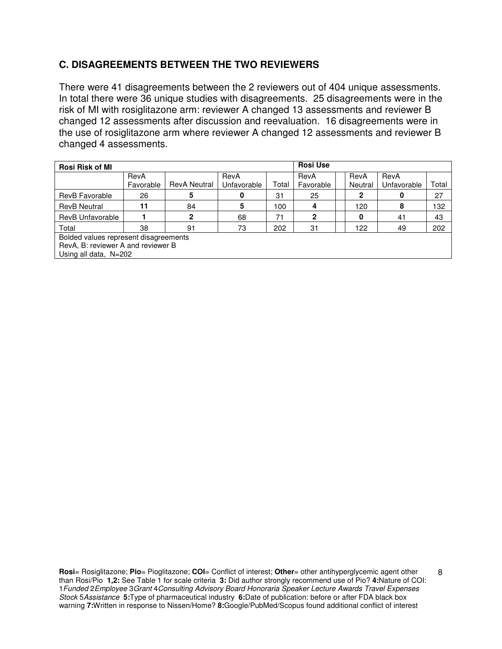# **C. DISAGREEMENTS BETWEEN THE TWO REVIEWERS**

There were 41 disagreements between the 2 reviewers out of 404 unique assessments. In total there were 36 unique studies with disagreements. 25 disagreements were in the risk of MI with rosiglitazone arm: reviewer A changed 13 assessments and reviewer B changed 12 assessments after discussion and reevaluation. 16 disagreements were in the use of rosiglitazone arm where reviewer A changed 12 assessments and reviewer B changed 4 assessments.

| <b>Rosi Risk of MI</b>             |                                       |                     |             |       |                |  |         |             |       |
|------------------------------------|---------------------------------------|---------------------|-------------|-------|----------------|--|---------|-------------|-------|
|                                    | RevA                                  |                     | RevA        |       | RevA           |  | RevA    | RevA        |       |
|                                    | Favorable                             | <b>RevA Neutral</b> | Unfavorable | Total | Favorable      |  | Neutral | Unfavorable | Total |
| RevB Favorable                     | 26                                    | 5                   | 0           | 31    | 25             |  | 2       |             | 27    |
| <b>RevB Neutral</b>                | 11                                    | 84                  | 5           | 100   | 4              |  | 120     | 8           | 132   |
| RevB Unfavorable                   |                                       | 2                   | 68          | 71    | $\overline{2}$ |  | 0       | 41          | 43    |
| Total                              | 38                                    | 91                  | 73          | 202   | 31             |  | 122     | 49          | 202   |
|                                    | Bolded values represent disagreements |                     |             |       |                |  |         |             |       |
| RevA, B: reviewer A and reviewer B |                                       |                     |             |       |                |  |         |             |       |
| Using all data, N=202              |                                       |                     |             |       |                |  |         |             |       |

**Rosi**= Rosiglitazone; **Pio**= Pioglitazone; **COI**= Conflict of interest; **Other**= other antihyperglycemic agent other than Rosi/Pio **1,2:** See Table 1 for scale criteria **3:** Did author strongly recommend use of Pio? **4:**Nature of COI: 1Funded 2Employee 3Grant 4Consulting Advisory Board Honoraria Speaker Lecture Awards Travel Expenses Stock 5Assistance **5:**Type of pharmaceutical industry **6:**Date of publication: before or after FDA black box warning **7:**Written in response to Nissen/Home? **8:**Google/PubMed/Scopus found additional conflict of interest

8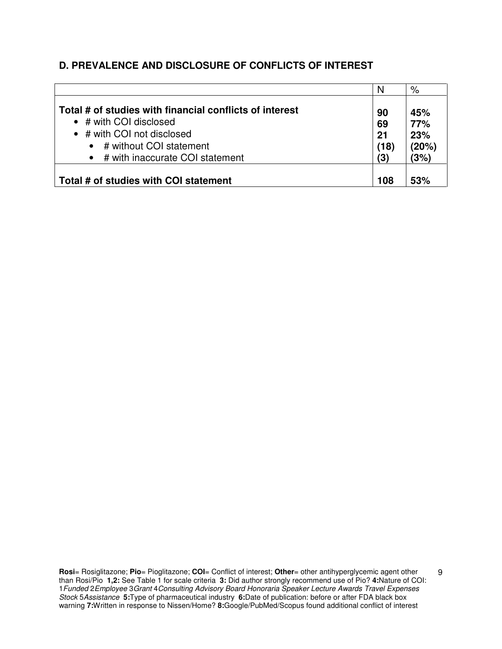## **D. PREVALENCE AND DISCLOSURE OF CONFLICTS OF INTEREST**

|                                                                                                                                                                                         | N                             | %                                  |
|-----------------------------------------------------------------------------------------------------------------------------------------------------------------------------------------|-------------------------------|------------------------------------|
| Total # of studies with financial conflicts of interest<br>$\bullet$ # with COI disclosed<br>• # with COI not disclosed<br># without COI statement<br>• # with inaccurate COI statement | 90<br>69<br>21<br>(18)<br>(3) | 45%<br>77%<br>23%<br>(20%)<br>(3%) |
| Total # of studies with COI statement                                                                                                                                                   | 108                           | 53%                                |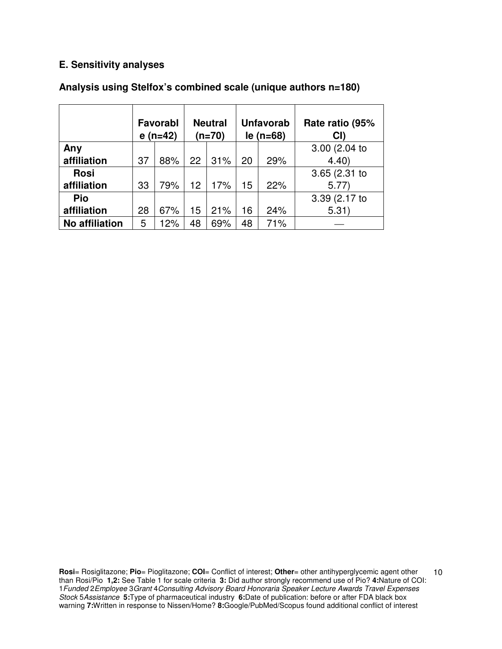## **E. Sensitivity analyses**

|                       | Favorabl<br>$e(n=42)$ |     | <b>Neutral</b><br>$(n=70)$ |     | <b>Unfavorab</b><br>$le( n=68)$ |     | Rate ratio (95%<br>CI |
|-----------------------|-----------------------|-----|----------------------------|-----|---------------------------------|-----|-----------------------|
| Any                   |                       |     |                            |     |                                 |     | 3.00 (2.04 to         |
| affiliation           | 37                    | 88% | 22                         | 31% | 20                              | 29% | 4.40                  |
| <b>Rosi</b>           |                       |     |                            |     |                                 |     | 3.65(2.31)            |
| affiliation           | 33                    | 79% | 12                         | 17% | 15                              | 22% | 5.77                  |
| Pio                   |                       |     |                            |     |                                 |     | 3.39 (2.17 to         |
| affiliation           | 28                    | 67% | 15                         | 21% | 16                              | 24% | 5.31)                 |
| <b>No affiliation</b> | 5                     | 12% | 48                         | 69% | 48                              | 71% |                       |

## **Analysis using Stelfox's combined scale (unique authors n=180)**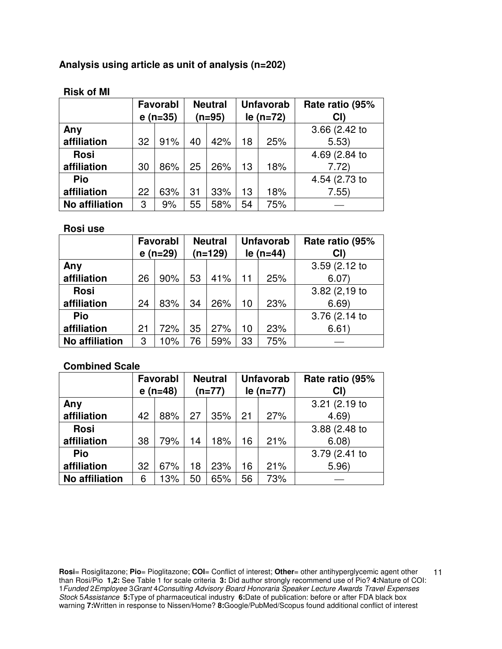# **Analysis using article as unit of analysis (n=202)**

|                       | e  | Favorabl<br>$(n=35)$ | <b>Neutral</b><br>$(n=95)$ |     | <b>Unfavorab</b><br>$le (n=72)$ |     | Rate ratio (95%<br>CI) |
|-----------------------|----|----------------------|----------------------------|-----|---------------------------------|-----|------------------------|
| Any                   |    |                      |                            |     |                                 |     | 3.66 (2.42 to          |
| affiliation           | 32 | 91%                  | 40                         | 42% | 18                              | 25% | 5.53)                  |
| <b>Rosi</b>           |    |                      |                            |     |                                 |     | 4.69 (2.84 to          |
| affiliation           | 30 | 86%                  | 25                         | 26% | 13                              | 18% | 7.72)                  |
| Pio                   |    |                      |                            |     |                                 |     | 4.54 (2.73 to          |
| affiliation           | 22 | 63%                  | 31                         | 33% | 13                              | 18% | 7.55)                  |
| <b>No affiliation</b> | 3  | 9%                   | 55                         | 58% | 54                              | 75% |                        |

### **Risk of MI**

#### **Rosi use**

|                       | Favorabl<br>$e($ n=29) |     |    | <b>Neutral</b><br>$(n=129)$ | <b>Unfavorab</b><br>$le (n=44)$ |     | Rate ratio (95%<br>CI) |
|-----------------------|------------------------|-----|----|-----------------------------|---------------------------------|-----|------------------------|
| Any                   |                        |     |    |                             |                                 |     | 3.59(2.12)             |
| affiliation           | 26                     | 90% | 53 | 41%                         | 11                              | 25% | 6.07)                  |
| <b>Rosi</b>           |                        |     |    |                             |                                 |     | 3.82(2,19)             |
| affiliation           | 24                     | 83% | 34 | 26%                         | 10                              | 23% | 6.69                   |
| Pio                   |                        |     |    |                             |                                 |     | 3.76 (2.14 to          |
| affiliation           | 21                     | 72% | 35 | 27%                         | 10                              | 23% | 6.61)                  |
| <b>No affiliation</b> | 3                      | 10% | 76 | 59%                         | 33                              | 75% |                        |

## **Combined Scale**

|                       |    | Favorabl<br>$e($ n=48) | <b>Neutral</b><br>$(n=77)$ |     | <b>Unfavorab</b><br>$le (n=77)$ |     | Rate ratio (95%<br>CI |
|-----------------------|----|------------------------|----------------------------|-----|---------------------------------|-----|-----------------------|
| Any                   |    |                        |                            |     |                                 |     | 3.21 (2.19 to         |
| affiliation           | 42 | 88%                    | 27                         | 35% | 21                              | 27% | 4.69                  |
| <b>Rosi</b>           |    |                        |                            |     |                                 |     | 3.88 (2.48 to         |
| affiliation           | 38 | 79%                    | 14                         | 18% | 16                              | 21% | 6.08                  |
| Pio                   |    |                        |                            |     |                                 |     | 3.79 (2.41 to         |
| affiliation           | 32 | 67%                    | 18                         | 23% | 16                              | 21% | 5.96)                 |
| <b>No affiliation</b> | 6  | 13%                    | 50                         | 65% | 56                              | 73% |                       |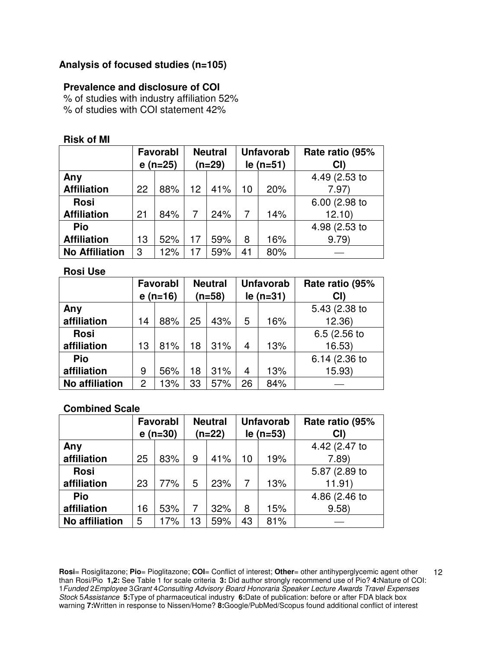## **Analysis of focused studies (n=105)**

### **Prevalence and disclosure of COI**

% of studies with industry affiliation 52% % of studies with COI statement 42%

| <b>Risk of MI</b> |  |  |
|-------------------|--|--|
|                   |  |  |

|                       | Favorabl |           |                 | <b>Neutral</b> |    | <b>Unfavorab</b> | Rate ratio (95% |
|-----------------------|----------|-----------|-----------------|----------------|----|------------------|-----------------|
|                       |          | $e(n=25)$ |                 | $(n=29)$       |    | $le( n=51)$      | CI)             |
| Any                   |          |           |                 |                |    |                  | 4.49 (2.53 to   |
| <b>Affiliation</b>    | 22       | 88%       | 12 <sup>2</sup> | 41%            | 10 | 20%              | 7.97            |
| <b>Rosi</b>           |          |           |                 |                |    |                  | 6.00 (2.98 to   |
| <b>Affiliation</b>    | 21       | 84%       | 7               | 24%            |    | 14%              | 12.10           |
| Pio                   |          |           |                 |                |    |                  | 4.98 (2.53 to   |
| <b>Affiliation</b>    | 13       | 52%       | 17              | 59%            | 8  | 16%              | 9.79            |
| <b>No Affiliation</b> | 3        | 12%       | 17              | 59%            | 41 | 80%              |                 |

**Rosi Use** 

|                       | Favorabl       |            |          | <b>Neutral</b> |             | <b>Unfavorab</b> | Rate ratio (95% |
|-----------------------|----------------|------------|----------|----------------|-------------|------------------|-----------------|
|                       |                | $e($ n=16) | $(n=58)$ |                | $le( n=31)$ |                  | CI)             |
| Any                   |                |            |          |                |             |                  | 5.43 (2.38 to   |
| affiliation           | 14             | 88%        | 25       | 43%            | 5           | 16%              | 12.36           |
| <b>Rosi</b>           |                |            |          |                |             |                  | 6.5 (2.56 to    |
| affiliation           | 81%<br>13      |            | 18       | 31%            | 4           | 13%              | 16.53)          |
| Pio                   |                |            |          |                |             |                  | 6.14 (2.36 to   |
| affiliation           | 9              | 56%        | 18       | 31%            | 4           | 13%              | 15.93)          |
| <b>No affiliation</b> | $\overline{2}$ | 13%        | 33       | 57%            | 26          | 84%              |                 |

#### **Combined Scale**

|                       | Favorabl<br>$e($ n=30) |     | <b>Neutral</b><br>$(n=22)$ |     | <b>Unfavorab</b><br>$le( n=53)$ |     | Rate ratio (95%<br>CI) |
|-----------------------|------------------------|-----|----------------------------|-----|---------------------------------|-----|------------------------|
| Any                   |                        |     |                            |     |                                 |     | 4.42 (2.47 to          |
| affiliation           | 25                     | 83% | 9                          | 41% | 10                              | 19% | 7.89                   |
| <b>Rosi</b>           |                        |     |                            |     |                                 |     | 5.87 (2.89 to          |
| affiliation           | 23                     | 77% | 5                          | 23% |                                 | 13% | 11.91)                 |
| Pio                   |                        |     |                            |     |                                 |     | 4.86 (2.46 to          |
| affiliation           | 53%<br>16              |     | 7                          | 32% | 8                               | 15% | 9.58                   |
| <b>No affiliation</b> | 5                      | 17% | 13                         | 59% | 43                              | 81% |                        |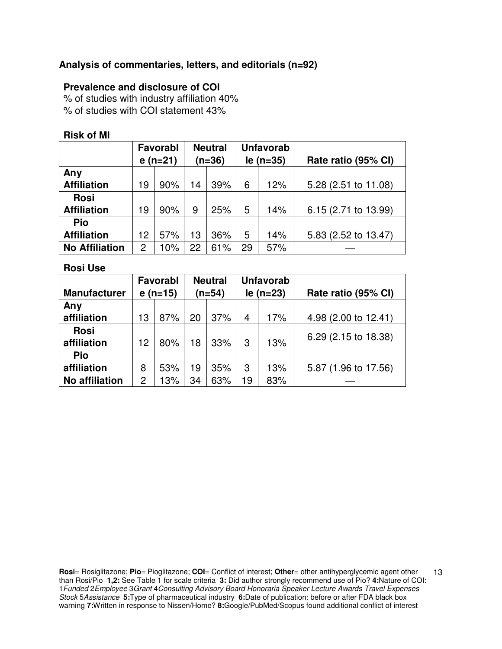## **Analysis of commentaries, letters, and editorials (n=92)**

### **Prevalence and disclosure of COI**

% of studies with industry affiliation 40% % of studies with COI statement 43%

#### **Risk of MI**

|                       | <b>Favorabl</b> |     | <b>Neutral</b> |     |             | <b>Unfavorab</b> |                      |
|-----------------------|-----------------|-----|----------------|-----|-------------|------------------|----------------------|
|                       | $e(n=21)$       |     | $(n=36)$       |     | $le (n=35)$ |                  | Rate ratio (95% CI)  |
| Any                   |                 |     |                |     |             |                  |                      |
| <b>Affiliation</b>    | 19              | 90% | 14             | 39% | 6           | 12%              | 5.28 (2.51 to 11.08) |
| <b>Rosi</b>           |                 |     |                |     |             |                  |                      |
| <b>Affiliation</b>    | 19              | 90% | 9              | 25% | 5           | 14%              | 6.15 (2.71 to 13.99) |
| Pio                   |                 |     |                |     |             |                  |                      |
| <b>Affiliation</b>    | 12              | 57% | 13             | 36% | 5           | 14%              | 5.83 (2.52 to 13.47) |
| <b>No Affiliation</b> | $\overline{2}$  | 10% | 22             | 61% | 29          | 57%              |                      |

**Rosi Use**

|                       |           | Favorabl |          | <b>Neutral</b> |    | <b>Unfavorab</b> |                      |
|-----------------------|-----------|----------|----------|----------------|----|------------------|----------------------|
| <b>Manufacturer</b>   | $e(n=15)$ |          | $(n=54)$ |                |    | $le (n=23)$      | Rate ratio (95% CI)  |
| Any                   |           |          |          |                |    |                  |                      |
| affiliation           | 13        | 87%      | 20       | 37%            | 4  | 17%              | 4.98 (2.00 to 12.41) |
| <b>Rosi</b>           |           |          |          |                |    |                  |                      |
| affiliation           | 12        | 80%      | 18       | 33%            | 3  | 13%              | 6.29 (2.15 to 18.38) |
| Pio                   |           |          |          |                |    |                  |                      |
| affiliation           | 8         | 53%      | 19       | 35%            | 3  | 13%              | 5.87 (1.96 to 17.56) |
| <b>No affiliation</b> | 2         | 13%      | 34       | 63%            | 19 | 83%              |                      |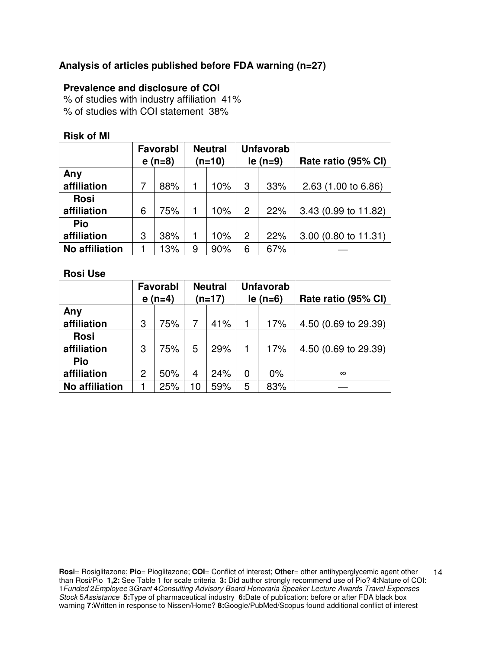## **Analysis of articles published before FDA warning (n=27)**

## **Prevalence and disclosure of COI**

% of studies with industry affiliation 41% % of studies with COI statement 38%

### **Risk of MI**

|                       | Favorabl |          | <b>Neutral</b> |     | <b>Unfavorab</b> |     |                      |
|-----------------------|----------|----------|----------------|-----|------------------|-----|----------------------|
|                       |          | $e(n=8)$ | $(n=10)$       |     | $le(n=9)$        |     | Rate ratio (95% CI)  |
| Any                   |          |          |                |     |                  |     |                      |
| affiliation           |          | 88%      |                | 10% | 3                | 33% | 2.63 (1.00 to 6.86)  |
| <b>Rosi</b>           |          |          |                |     |                  |     |                      |
| affiliation           | 6        | 75%      |                | 10% | $\overline{2}$   | 22% | 3.43 (0.99 to 11.82) |
| Pio                   |          |          |                |     |                  |     |                      |
| affiliation           | 3        | 38%      |                | 10% | $\overline{2}$   | 22% | 3.00 (0.80 to 11.31) |
| <b>No affiliation</b> |          | 13%      | 9              | 90% | 6                | 67% |                      |

#### **Rosi Use**

|                       | Favorabl |          |          | <b>Neutral</b> |                | <b>Unfavorab</b> |                      |
|-----------------------|----------|----------|----------|----------------|----------------|------------------|----------------------|
|                       |          | $e(n=4)$ | $(n=17)$ |                | $le(n=6)$      |                  | Rate ratio (95% CI)  |
| Any                   |          |          |          |                |                |                  |                      |
| affiliation           | 3        | 75%      |          | 41%            | 1              | 17%              | 4.50 (0.69 to 29.39) |
| <b>Rosi</b>           |          |          |          |                |                |                  |                      |
| affiliation           | 3        | 75%      | 5        | 29%            | 1              | 17%              | 4.50 (0.69 to 29.39) |
| Pio                   |          |          |          |                |                |                  |                      |
| affiliation           | 2        | 50%      | 4        | 24%            | $\overline{0}$ | $0\%$            | $\infty$             |
| <b>No affiliation</b> |          | 25%      | 10       | 59%            | 5              | 83%              |                      |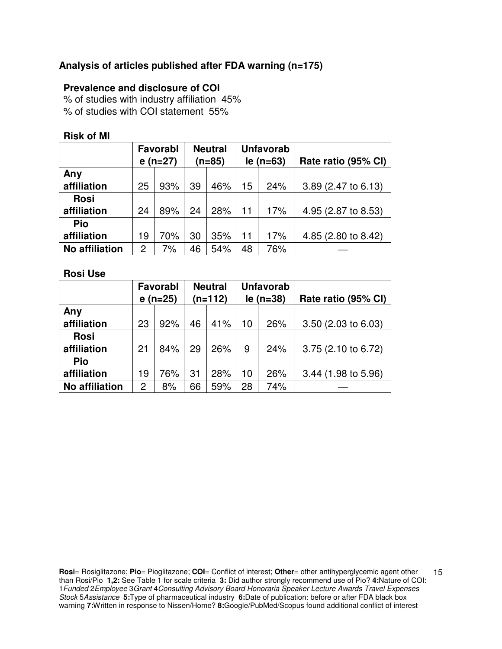## **Analysis of articles published after FDA warning (n=175)**

## **Prevalence and disclosure of COI**

% of studies with industry affiliation 45% % of studies with COI statement 55%

#### **Risk of MI**

|                       | <b>Favorabl</b> |           | <b>Neutral</b> |     | <b>Unfavorab</b> |     |                     |
|-----------------------|-----------------|-----------|----------------|-----|------------------|-----|---------------------|
|                       |                 | $e(n=27)$ | $(n=85)$       |     | $le (n=63)$      |     | Rate ratio (95% CI) |
| Any                   |                 |           |                |     |                  |     |                     |
| affiliation           | 25              | 93%       | 39             | 46% | 15               | 24% | 3.89 (2.47 to 6.13) |
| <b>Rosi</b>           |                 |           |                |     |                  |     |                     |
| affiliation           | 24              | 89%       | 24             | 28% | 11               | 17% | 4.95 (2.87 to 8.53) |
| Pio                   |                 |           |                |     |                  |     |                     |
| affiliation           | 19              | 70%       | 30             | 35% | 11               | 17% | 4.85 (2.80 to 8.42) |
| <b>No affiliation</b> | 2               | 7%        | 46             | 54% | 48               | 76% |                     |

#### **Rosi Use**

|                       | Favorabl<br>$e(n=25)$ |     |    | <b>Neutral</b><br>$(n=112)$ |    | <b>Unfavorab</b><br>$le (n=38)$ | Rate ratio (95% CI)   |
|-----------------------|-----------------------|-----|----|-----------------------------|----|---------------------------------|-----------------------|
| Any                   |                       |     |    |                             |    |                                 |                       |
| affiliation           | 23                    | 92% | 46 | 41%                         | 10 | 26%                             | $3.50$ (2.03 to 6.03) |
| <b>Rosi</b>           |                       |     |    |                             |    |                                 |                       |
| affiliation           | 21                    | 84% | 29 | 26%                         | 9  | 24%                             | 3.75 (2.10 to 6.72)   |
| Pio                   |                       |     |    |                             |    |                                 |                       |
| affiliation           | 19                    | 76% | 31 | 28%                         | 10 | 26%                             | 3.44 (1.98 to 5.96)   |
| <b>No affiliation</b> | 2                     | 8%  | 66 | 59%                         | 28 | 74%                             |                       |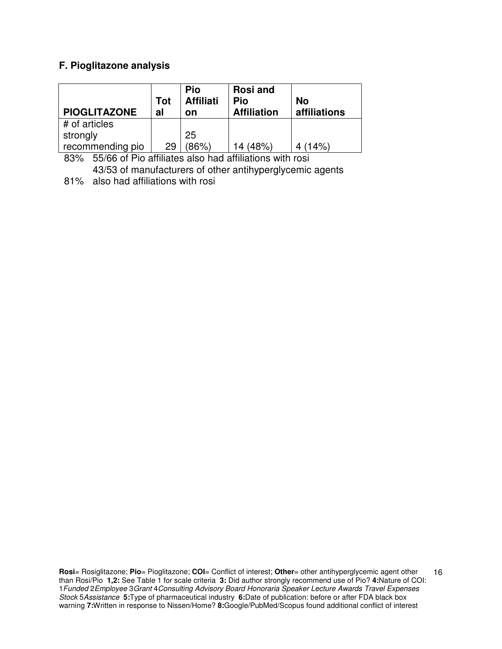## **F. Pioglitazone analysis**

| <b>PIOGLITAZONE</b> | Tot<br>al | Pio<br><b>Affiliati</b><br>on | <b>Rosi and</b><br>Pio<br><b>Affiliation</b> | <b>No</b><br>affiliations |
|---------------------|-----------|-------------------------------|----------------------------------------------|---------------------------|
| # of articles       |           |                               |                                              |                           |
| strongly            |           | 25                            |                                              |                           |
| recommending pio    | 29        | $86\%$                        | 14 (48%)                                     | (14%)                     |

83% 55/66 of Pio affiliates also had affiliations with rosi 43/53 of manufacturers of other antihyperglycemic agents

81% also had affiliations with rosi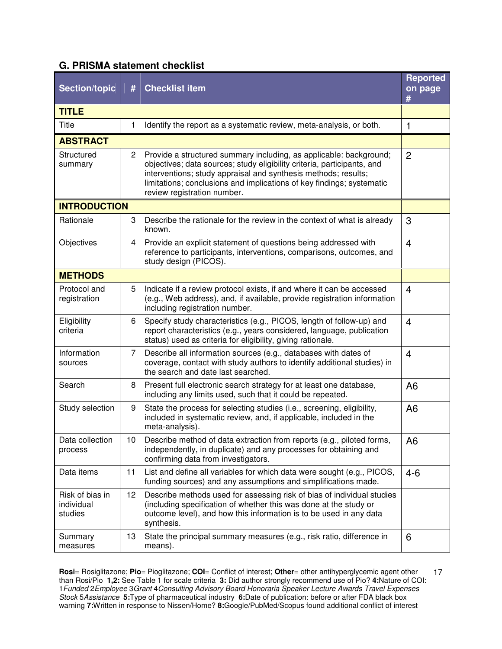## **G. PRISMA statement checklist**

| <b>Section/topic</b>                     | #               | <b>Checklist item</b>                                                                                                                                                                                                                                                                                                   | <b>Reported</b><br>on page<br># |
|------------------------------------------|-----------------|-------------------------------------------------------------------------------------------------------------------------------------------------------------------------------------------------------------------------------------------------------------------------------------------------------------------------|---------------------------------|
| <b>TITLE</b>                             |                 |                                                                                                                                                                                                                                                                                                                         |                                 |
| <b>Title</b>                             | 1               | Identify the report as a systematic review, meta-analysis, or both.                                                                                                                                                                                                                                                     | 1                               |
| <b>ABSTRACT</b>                          |                 |                                                                                                                                                                                                                                                                                                                         |                                 |
| Structured<br>summary                    | 2               | Provide a structured summary including, as applicable: background;<br>objectives; data sources; study eligibility criteria, participants, and<br>interventions; study appraisal and synthesis methods; results;<br>limitations; conclusions and implications of key findings; systematic<br>review registration number. | $\overline{2}$                  |
| <b>INTRODUCTION</b>                      |                 |                                                                                                                                                                                                                                                                                                                         |                                 |
| Rationale                                | 3               | Describe the rationale for the review in the context of what is already<br>known.                                                                                                                                                                                                                                       | 3                               |
| Objectives                               | 4               | Provide an explicit statement of questions being addressed with<br>reference to participants, interventions, comparisons, outcomes, and<br>study design (PICOS).                                                                                                                                                        | $\overline{4}$                  |
| <b>METHODS</b>                           |                 |                                                                                                                                                                                                                                                                                                                         |                                 |
| Protocol and<br>registration             | 5               | Indicate if a review protocol exists, if and where it can be accessed<br>(e.g., Web address), and, if available, provide registration information<br>including registration number.                                                                                                                                     | $\overline{4}$                  |
| Eligibility<br>criteria                  | 6               | Specify study characteristics (e.g., PICOS, length of follow-up) and<br>report characteristics (e.g., years considered, language, publication<br>status) used as criteria for eligibility, giving rationale.                                                                                                            | $\overline{4}$                  |
| Information<br>sources                   | 7               | Describe all information sources (e.g., databases with dates of<br>coverage, contact with study authors to identify additional studies) in<br>the search and date last searched.                                                                                                                                        | $\overline{4}$                  |
| Search                                   | 8               | Present full electronic search strategy for at least one database,<br>including any limits used, such that it could be repeated.                                                                                                                                                                                        | A <sub>6</sub>                  |
| Study selection                          | 9               | State the process for selecting studies (i.e., screening, eligibility,<br>included in systematic review, and, if applicable, included in the<br>meta-analysis).                                                                                                                                                         | A <sub>6</sub>                  |
| Data collection<br>process               | 10 <sub>1</sub> | Describe method of data extraction from reports (e.g., piloted forms,<br>independently, in duplicate) and any processes for obtaining and<br>confirming data from investigators.                                                                                                                                        | A <sub>6</sub>                  |
| Data items                               | 11              | List and define all variables for which data were sought (e.g., PICOS,<br>funding sources) and any assumptions and simplifications made.                                                                                                                                                                                | $4-6$                           |
| Risk of bias in<br>individual<br>studies | 12              | Describe methods used for assessing risk of bias of individual studies<br>(including specification of whether this was done at the study or<br>outcome level), and how this information is to be used in any data<br>synthesis.                                                                                         |                                 |
| Summary<br>measures                      | 13              | State the principal summary measures (e.g., risk ratio, difference in<br>means).                                                                                                                                                                                                                                        | 6                               |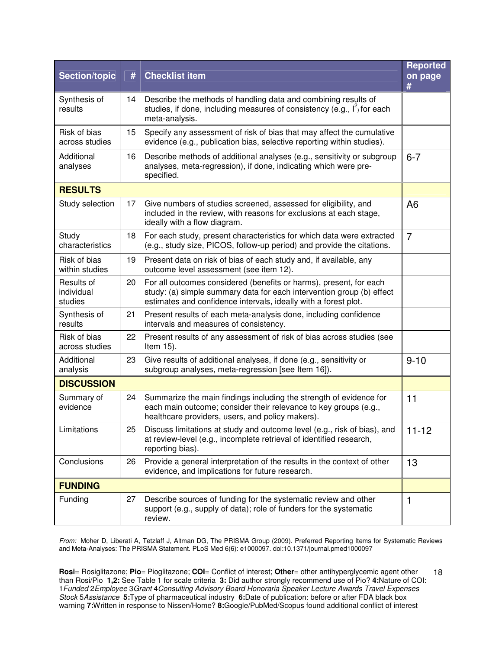| <b>Section/topic</b>                | #  | <b>Checklist item</b>                                                                                                                                                                                          | <b>Reported</b><br>on page<br># |
|-------------------------------------|----|----------------------------------------------------------------------------------------------------------------------------------------------------------------------------------------------------------------|---------------------------------|
| Synthesis of<br>results             | 14 | Describe the methods of handling data and combining results of<br>studies, if done, including measures of consistency (e.g., $I^2$ ) for each<br>meta-analysis.                                                |                                 |
| Risk of bias<br>across studies      | 15 | Specify any assessment of risk of bias that may affect the cumulative<br>evidence (e.g., publication bias, selective reporting within studies).                                                                |                                 |
| Additional<br>analyses              | 16 | Describe methods of additional analyses (e.g., sensitivity or subgroup<br>analyses, meta-regression), if done, indicating which were pre-<br>specified.                                                        | $6 - 7$                         |
| <b>RESULTS</b>                      |    |                                                                                                                                                                                                                |                                 |
| Study selection                     | 17 | Give numbers of studies screened, assessed for eligibility, and<br>included in the review, with reasons for exclusions at each stage,<br>ideally with a flow diagram.                                          | A <sub>6</sub>                  |
| Study<br>characteristics            | 18 | For each study, present characteristics for which data were extracted<br>(e.g., study size, PICOS, follow-up period) and provide the citations.                                                                | $\overline{7}$                  |
| Risk of bias<br>within studies      | 19 | Present data on risk of bias of each study and, if available, any<br>outcome level assessment (see item 12).                                                                                                   |                                 |
| Results of<br>individual<br>studies | 20 | For all outcomes considered (benefits or harms), present, for each<br>study: (a) simple summary data for each intervention group (b) effect<br>estimates and confidence intervals, ideally with a forest plot. |                                 |
| Synthesis of<br>results             | 21 | Present results of each meta-analysis done, including confidence<br>intervals and measures of consistency.                                                                                                     |                                 |
| Risk of bias<br>across studies      | 22 | Present results of any assessment of risk of bias across studies (see<br>Item 15).                                                                                                                             |                                 |
| Additional<br>analysis              | 23 | Give results of additional analyses, if done (e.g., sensitivity or<br>subgroup analyses, meta-regression [see Item 16]).                                                                                       | $9 - 10$                        |
| <b>DISCUSSION</b>                   |    |                                                                                                                                                                                                                |                                 |
| Summary of<br>evidence              | 24 | Summarize the main findings including the strength of evidence for<br>each main outcome; consider their relevance to key groups (e.g.,<br>healthcare providers, users, and policy makers).                     | 11                              |
| Limitations                         | 25 | Discuss limitations at study and outcome level (e.g., risk of bias), and<br>at review-level (e.g., incomplete retrieval of identified research,<br>reporting bias).                                            | $11 - 12$                       |
| Conclusions                         | 26 | Provide a general interpretation of the results in the context of other<br>evidence, and implications for future research.                                                                                     | 13                              |
| <b>FUNDING</b>                      |    |                                                                                                                                                                                                                |                                 |
| Funding                             | 27 | Describe sources of funding for the systematic review and other<br>support (e.g., supply of data); role of funders for the systematic<br>review.                                                               | 1                               |

From: Moher D, Liberati A, Tetzlaff J, Altman DG, The PRISMA Group (2009). Preferred Reporting Items for Systematic Reviews and Meta-Analyses: The PRISMA Statement. PLoS Med 6(6): e1000097. doi:10.1371/journal.pmed1000097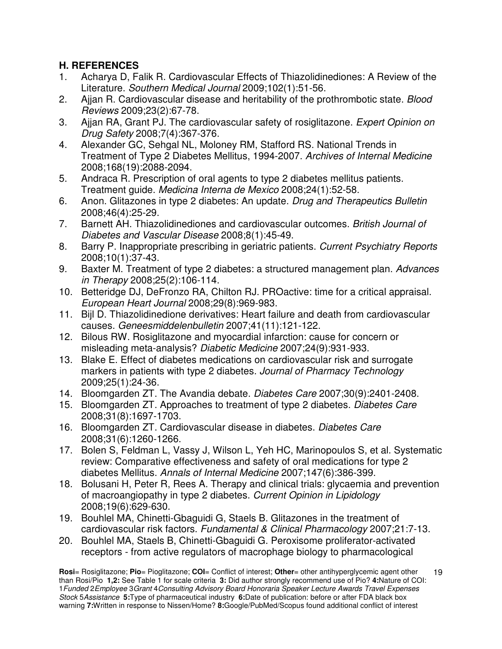# **H. REFERENCES**

- 1. Acharya D, Falik R. Cardiovascular Effects of Thiazolidinediones: A Review of the Literature. Southern Medical Journal 2009;102(1):51-56.
- 2. Aijan R. Cardiovascular disease and heritability of the prothrombotic state. Blood Reviews 2009;23(2):67-78.
- 3. Ajjan RA, Grant PJ. The cardiovascular safety of rosiglitazone. Expert Opinion on Drug Safety 2008;7(4):367-376.
- 4. Alexander GC, Sehgal NL, Moloney RM, Stafford RS. National Trends in Treatment of Type 2 Diabetes Mellitus, 1994-2007. Archives of Internal Medicine 2008;168(19):2088-2094.
- 5. Andraca R. Prescription of oral agents to type 2 diabetes mellitus patients. Treatment guide. Medicina Interna de Mexico 2008;24(1):52-58.
- 6. Anon. Glitazones in type 2 diabetes: An update. Drug and Therapeutics Bulletin 2008;46(4):25-29.
- 7. Barnett AH. Thiazolidinediones and cardiovascular outcomes. British Journal of Diabetes and Vascular Disease 2008;8(1):45-49.
- 8. Barry P. Inappropriate prescribing in geriatric patients. Current Psychiatry Reports 2008;10(1):37-43.
- 9. Baxter M. Treatment of type 2 diabetes: a structured management plan. Advances in Therapy 2008;25(2):106-114.
- 10. Betteridge DJ, DeFronzo RA, Chilton RJ. PROactive: time for a critical appraisal. European Heart Journal 2008;29(8):969-983.
- 11. Bijl D. Thiazolidinedione derivatives: Heart failure and death from cardiovascular causes. Geneesmiddelenbulletin 2007;41(11):121-122.
- 12. Bilous RW. Rosiglitazone and myocardial infarction: cause for concern or misleading meta-analysis? Diabetic Medicine 2007;24(9):931-933.
- 13. Blake E. Effect of diabetes medications on cardiovascular risk and surrogate markers in patients with type 2 diabetes. Journal of Pharmacy Technology 2009;25(1):24-36.
- 14. Bloomgarden ZT. The Avandia debate. Diabetes Care 2007;30(9):2401-2408.
- 15. Bloomgarden ZT. Approaches to treatment of type 2 diabetes. Diabetes Care 2008;31(8):1697-1703.
- 16. Bloomgarden ZT. Cardiovascular disease in diabetes. Diabetes Care 2008;31(6):1260-1266.
- 17. Bolen S, Feldman L, Vassy J, Wilson L, Yeh HC, Marinopoulos S, et al. Systematic review: Comparative effectiveness and safety of oral medications for type 2 diabetes Mellitus. Annals of Internal Medicine 2007;147(6):386-399.
- 18. Bolusani H, Peter R, Rees A. Therapy and clinical trials: glycaemia and prevention of macroangiopathy in type 2 diabetes. Current Opinion in Lipidology 2008;19(6):629-630.
- 19. Bouhlel MA, Chinetti-Gbaguidi G, Staels B. Glitazones in the treatment of cardiovascular risk factors. Fundamental & Clinical Pharmacology 2007;21:7-13.
- 20. Bouhlel MA, Staels B, Chinetti-Gbaguidi G. Peroxisome proliferator-activated receptors - from active regulators of macrophage biology to pharmacological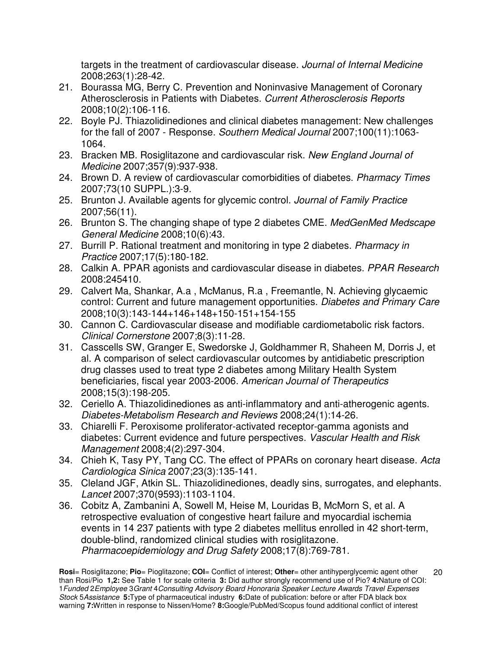targets in the treatment of cardiovascular disease. Journal of Internal Medicine 2008;263(1):28-42.

- 21. Bourassa MG, Berry C. Prevention and Noninvasive Management of Coronary Atherosclerosis in Patients with Diabetes. Current Atherosclerosis Reports 2008;10(2):106-116.
- 22. Boyle PJ. Thiazolidinediones and clinical diabetes management: New challenges for the fall of 2007 - Response. Southern Medical Journal 2007;100(11):1063- 1064.
- 23. Bracken MB. Rosiglitazone and cardiovascular risk. New England Journal of Medicine 2007;357(9):937-938.
- 24. Brown D. A review of cardiovascular comorbidities of diabetes. Pharmacy Times 2007;73(10 SUPPL.):3-9.
- 25. Brunton J. Available agents for glycemic control. Journal of Family Practice 2007;56(11).
- 26. Brunton S. The changing shape of type 2 diabetes CME. MedGenMed Medscape General Medicine 2008;10(6):43.
- 27. Burrill P. Rational treatment and monitoring in type 2 diabetes. Pharmacy in Practice 2007;17(5):180-182.
- 28. Calkin A. PPAR agonists and cardiovascular disease in diabetes. PPAR Research 2008:245410.
- 29. Calvert Ma, Shankar, A.a , McManus, R.a , Freemantle, N. Achieving glycaemic control: Current and future management opportunities. Diabetes and Primary Care 2008;10(3):143-144+146+148+150-151+154-155
- 30. Cannon C. Cardiovascular disease and modifiable cardiometabolic risk factors. Clinical Cornerstone 2007;8(3):11-28.
- 31. Casscells SW, Granger E, Swedorske J, Goldhammer R, Shaheen M, Dorris J, et al. A comparison of select cardiovascular outcomes by antidiabetic prescription drug classes used to treat type 2 diabetes among Military Health System beneficiaries, fiscal year 2003-2006. American Journal of Therapeutics 2008;15(3):198-205.
- 32. Ceriello A. Thiazolidinediones as anti-inflammatory and anti-atherogenic agents. Diabetes-Metabolism Research and Reviews 2008;24(1):14-26.
- 33. Chiarelli F. Peroxisome proliferator-activated receptor-gamma agonists and diabetes: Current evidence and future perspectives. Vascular Health and Risk Management 2008;4(2):297-304.
- 34. Chieh K, Tasy PY, Tang CC. The effect of PPARs on coronary heart disease. Acta Cardiologica Sinica 2007;23(3):135-141.
- 35. Cleland JGF, Atkin SL. Thiazolidinediones, deadly sins, surrogates, and elephants. Lancet 2007;370(9593):1103-1104.
- 36. Cobitz A, Zambanini A, Sowell M, Heise M, Louridas B, McMorn S, et al. A retrospective evaluation of congestive heart failure and myocardial ischemia events in 14 237 patients with type 2 diabetes mellitus enrolled in 42 short-term, double-blind, randomized clinical studies with rosiglitazone. Pharmacoepidemiology and Drug Safety 2008;17(8):769-781.

**Rosi**= Rosiglitazone; **Pio**= Pioglitazone; **COI**= Conflict of interest; **Other**= other antihyperglycemic agent other than Rosi/Pio **1,2:** See Table 1 for scale criteria **3:** Did author strongly recommend use of Pio? **4:**Nature of COI: 1Funded 2Employee 3Grant 4Consulting Advisory Board Honoraria Speaker Lecture Awards Travel Expenses Stock 5Assistance **5:**Type of pharmaceutical industry **6:**Date of publication: before or after FDA black box warning **7:**Written in response to Nissen/Home? **8:**Google/PubMed/Scopus found additional conflict of interest 20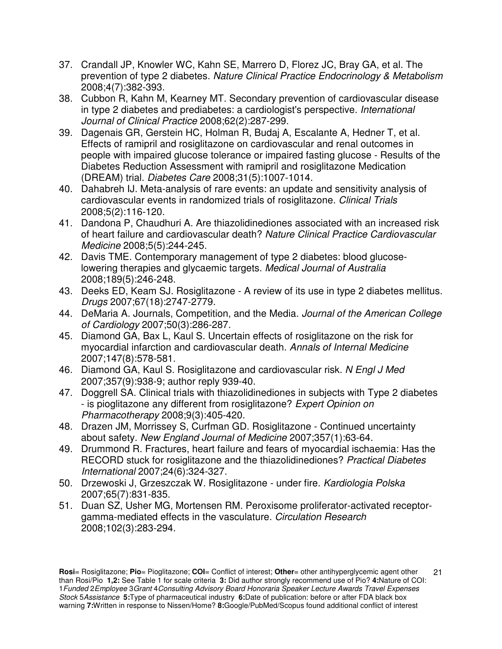- 37. Crandall JP, Knowler WC, Kahn SE, Marrero D, Florez JC, Bray GA, et al. The prevention of type 2 diabetes. Nature Clinical Practice Endocrinology & Metabolism 2008;4(7):382-393.
- 38. Cubbon R, Kahn M, Kearney MT. Secondary prevention of cardiovascular disease in type 2 diabetes and prediabetes: a cardiologist's perspective. International Journal of Clinical Practice 2008;62(2):287-299.
- 39. Dagenais GR, Gerstein HC, Holman R, Budaj A, Escalante A, Hedner T, et al. Effects of ramipril and rosiglitazone on cardiovascular and renal outcomes in people with impaired glucose tolerance or impaired fasting glucose - Results of the Diabetes Reduction Assessment with ramipril and rosiglitazone Medication (DREAM) trial. Diabetes Care 2008;31(5):1007-1014.
- 40. Dahabreh IJ. Meta-analysis of rare events: an update and sensitivity analysis of cardiovascular events in randomized trials of rosiglitazone. Clinical Trials 2008;5(2):116-120.
- 41. Dandona P, Chaudhuri A. Are thiazolidinediones associated with an increased risk of heart failure and cardiovascular death? Nature Clinical Practice Cardiovascular Medicine 2008;5(5):244-245.
- 42. Davis TME. Contemporary management of type 2 diabetes: blood glucoselowering therapies and glycaemic targets. Medical Journal of Australia 2008;189(5):246-248.
- 43. Deeks ED, Keam SJ. Rosiglitazone A review of its use in type 2 diabetes mellitus. Drugs 2007;67(18):2747-2779.
- 44. DeMaria A. Journals, Competition, and the Media. Journal of the American College of Cardiology 2007;50(3):286-287.
- 45. Diamond GA, Bax L, Kaul S. Uncertain effects of rosiglitazone on the risk for myocardial infarction and cardiovascular death. Annals of Internal Medicine 2007;147(8):578-581.
- 46. Diamond GA, Kaul S. Rosiglitazone and cardiovascular risk. N Engl J Med 2007;357(9):938-9; author reply 939-40.
- 47. Doggrell SA. Clinical trials with thiazolidinediones in subjects with Type 2 diabetes - is pioglitazone any different from rosiglitazone? Expert Opinion on Pharmacotherapy 2008;9(3):405-420.
- 48. Drazen JM, Morrissey S, Curfman GD. Rosiglitazone Continued uncertainty about safety. New England Journal of Medicine 2007;357(1):63-64.
- 49. Drummond R. Fractures, heart failure and fears of myocardial ischaemia: Has the RECORD stuck for rosiglitazone and the thiazolidinediones? Practical Diabetes International 2007;24(6):324-327.
- 50. Drzewoski J, Grzeszczak W. Rosiglitazone under fire. Kardiologia Polska 2007;65(7):831-835.
- 51. Duan SZ, Usher MG, Mortensen RM. Peroxisome proliferator-activated receptorgamma-mediated effects in the vasculature. Circulation Research 2008;102(3):283-294.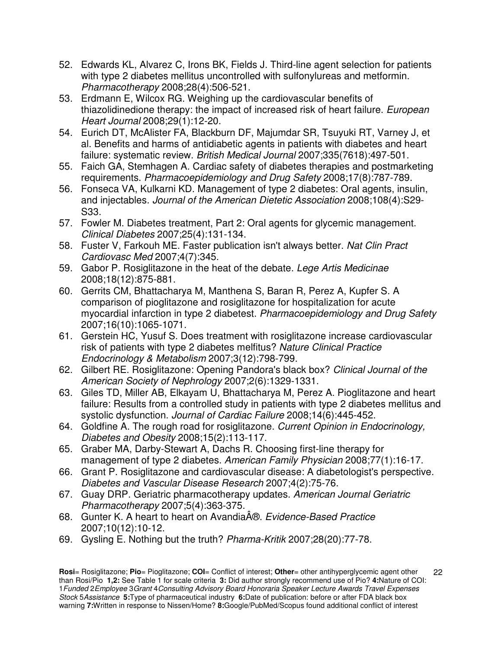- 52. Edwards KL, Alvarez C, Irons BK, Fields J. Third-line agent selection for patients with type 2 diabetes mellitus uncontrolled with sulfonylureas and metformin. Pharmacotherapy 2008;28(4):506-521.
- 53. Erdmann E, Wilcox RG. Weighing up the cardiovascular benefits of thiazolidinedione therapy: the impact of increased risk of heart failure. European Heart Journal 2008;29(1):12-20.
- 54. Eurich DT, McAlister FA, Blackburn DF, Majumdar SR, Tsuyuki RT, Varney J, et al. Benefits and harms of antidiabetic agents in patients with diabetes and heart failure: systematic review. British Medical Journal 2007;335(7618):497-501.
- 55. Faich GA, Stemhagen A. Cardiac safety of diabetes therapies and postmarketing requirements. Pharmacoepidemiology and Drug Safety 2008;17(8):787-789.
- 56. Fonseca VA, Kulkarni KD. Management of type 2 diabetes: Oral agents, insulin, and injectables. Journal of the American Dietetic Association 2008;108(4):S29- S33.
- 57. Fowler M. Diabetes treatment, Part 2: Oral agents for glycemic management. Clinical Diabetes 2007;25(4):131-134.
- 58. Fuster V, Farkouh ME. Faster publication isn't always better. Nat Clin Pract Cardiovasc Med 2007;4(7):345.
- 59. Gabor P. Rosiglitazone in the heat of the debate. Lege Artis Medicinae 2008;18(12):875-881.
- 60. Gerrits CM, Bhattacharya M, Manthena S, Baran R, Perez A, Kupfer S. A comparison of pioglitazone and rosiglitazone for hospitalization for acute myocardial infarction in type 2 diabetest. Pharmacoepidemiology and Drug Safety 2007;16(10):1065-1071.
- 61. Gerstein HC, Yusuf S. Does treatment with rosiglitazone increase cardiovascular risk of patients with type 2 diabetes melfitus? Nature Clinical Practice Endocrinology & Metabolism 2007;3(12):798-799.
- 62. Gilbert RE. Rosiglitazone: Opening Pandora's black box? Clinical Journal of the American Society of Nephrology 2007;2(6):1329-1331.
- 63. Giles TD, Miller AB, Elkayam U, Bhattacharya M, Perez A. Pioglitazone and heart failure: Results from a controlled study in patients with type 2 diabetes mellitus and systolic dysfunction. Journal of Cardiac Failure 2008;14(6):445-452.
- 64. Goldfine A. The rough road for rosiglitazone. Current Opinion in Endocrinology, Diabetes and Obesity 2008;15(2):113-117.
- 65. Graber MA, Darby-Stewart A, Dachs R. Choosing first-line therapy for management of type 2 diabetes. American Family Physician 2008;77(1):16-17.
- 66. Grant P. Rosiglitazone and cardiovascular disease: A diabetologist's perspective. Diabetes and Vascular Disease Research 2007;4(2):75-76.
- 67. Guay DRP. Geriatric pharmacotherapy updates. American Journal Geriatric Pharmacotherapy 2007;5(4):363-375.
- 68. Gunter K. A heart to heart on Avandia®. Evidence-Based Practice 2007;10(12):10-12.
- 69. Gysling E. Nothing but the truth? Pharma-Kritik 2007;28(20):77-78.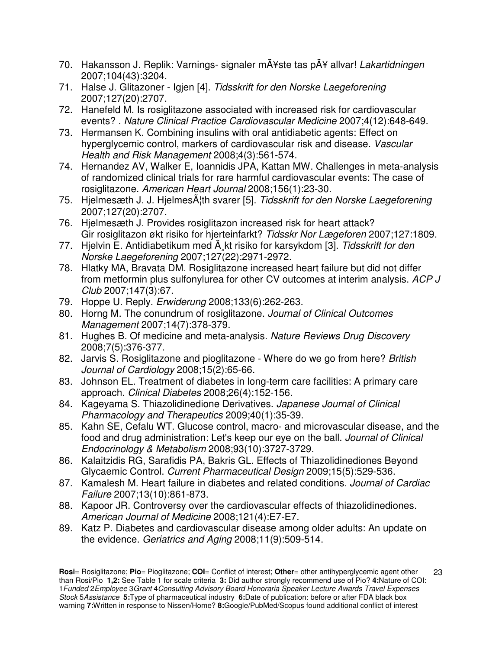- 70. Hakansson J. Replik: Varnings- signaler mťste tas pÅ¥ allvar! Lakartidningen 2007;104(43):3204.
- 71. Halse J. Glitazoner Igjen [4]. Tidsskrift for den Norske Laegeforening 2007;127(20):2707.
- 72. Hanefeld M. Is rosiglitazone associated with increased risk for cardiovascular events? . Nature Clinical Practice Cardiovascular Medicine 2007;4(12):648-649.
- 73. Hermansen K. Combining insulins with oral antidiabetic agents: Effect on hyperglycemic control, markers of cardiovascular risk and disease. Vascular Health and Risk Management 2008;4(3):561-574.
- 74. Hernandez AV, Walker E, Ioannidis JPA, Kattan MW. Challenges in meta-analysis of randomized clinical trials for rare harmful cardiovascular events: The case of rosiglitazone. American Heart Journal 2008;156(1):23-30.
- 75. Hielmesæth J. J. Hielmes $\tilde{A}$ <sup>th</sup> svarer [5]. Tidsskrift for den Norske Laegeforening 2007;127(20):2707.
- 76. Hjelmesæth J. Provides rosiglitazon increased risk for heart attack? Gir rosiglitazon økt risiko for hjerteinfarkt? Tidsskr Nor Lægeforen 2007;127:1809.
- 77. Hjelvin E. Antidiabetikum med  $\tilde{A}$  kt risiko for karsykdom [3]. Tidsskrift for den Norske Laegeforening 2007;127(22):2971-2972.
- 78. Hlatky MA, Bravata DM. Rosiglitazone increased heart failure but did not differ from metformin plus sulfonylurea for other CV outcomes at interim analysis. ACP J Club 2007;147(3):67.
- 79. Hoppe U. Reply. Erwiderung 2008;133(6):262-263.
- 80. Horng M. The conundrum of rosiglitazone. Journal of Clinical Outcomes Management 2007;14(7):378-379.
- 81. Hughes B. Of medicine and meta-analysis. Nature Reviews Drug Discovery 2008;7(5):376-377.
- 82. Jarvis S. Rosiglitazone and pioglitazone Where do we go from here? British Journal of Cardiology 2008;15(2):65-66.
- 83. Johnson EL. Treatment of diabetes in long-term care facilities: A primary care approach. Clinical Diabetes 2008;26(4):152-156.
- 84. Kageyama S. Thiazolidinedione Derivatives. Japanese Journal of Clinical Pharmacology and Therapeutics 2009;40(1):35-39.
- 85. Kahn SE, Cefalu WT. Glucose control, macro- and microvascular disease, and the food and drug administration: Let's keep our eye on the ball. Journal of Clinical Endocrinology & Metabolism 2008;93(10):3727-3729.
- 86. Kalaitzidis RG, Sarafidis PA, Bakris GL. Effects of Thiazolidinediones Beyond Glycaemic Control. Current Pharmaceutical Design 2009;15(5):529-536.
- 87. Kamalesh M. Heart failure in diabetes and related conditions. Journal of Cardiac Failure 2007;13(10):861-873.
- 88. Kapoor JR. Controversy over the cardiovascular effects of thiazolidinediones. American Journal of Medicine 2008;121(4):E7-E7.
- 89. Katz P. Diabetes and cardiovascular disease among older adults: An update on the evidence. Geriatrics and Aging 2008;11(9):509-514.

**Rosi**= Rosiglitazone; **Pio**= Pioglitazone; **COI**= Conflict of interest; **Other**= other antihyperglycemic agent other than Rosi/Pio **1,2:** See Table 1 for scale criteria **3:** Did author strongly recommend use of Pio? **4:**Nature of COI: 1Funded 2Employee 3Grant 4Consulting Advisory Board Honoraria Speaker Lecture Awards Travel Expenses Stock 5Assistance **5:**Type of pharmaceutical industry **6:**Date of publication: before or after FDA black box warning **7:**Written in response to Nissen/Home? **8:**Google/PubMed/Scopus found additional conflict of interest 23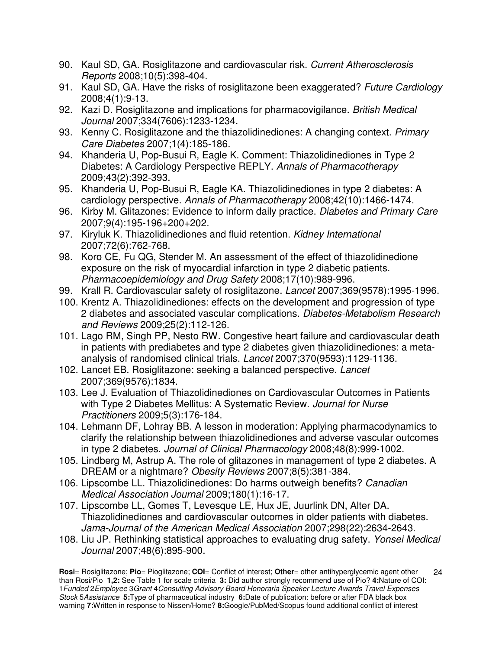- 90. Kaul SD, GA. Rosiglitazone and cardiovascular risk. Current Atherosclerosis Reports 2008;10(5):398-404.
- 91. Kaul SD, GA. Have the risks of rosiglitazone been exaggerated? Future Cardiology 2008;4(1):9-13.
- 92. Kazi D. Rosiglitazone and implications for pharmacovigilance. British Medical Journal 2007;334(7606):1233-1234.
- 93. Kenny C. Rosiglitazone and the thiazolidinediones: A changing context. Primary Care Diabetes 2007;1(4):185-186.
- 94. Khanderia U, Pop-Busui R, Eagle K. Comment: Thiazolidinediones in Type 2 Diabetes: A Cardiology Perspective REPLY. Annals of Pharmacotherapy 2009;43(2):392-393.
- 95. Khanderia U, Pop-Busui R, Eagle KA. Thiazolidinediones in type 2 diabetes: A cardiology perspective. Annals of Pharmacotherapy 2008;42(10):1466-1474.
- 96. Kirby M. Glitazones: Evidence to inform daily practice. Diabetes and Primary Care 2007;9(4):195-196+200+202.
- 97. Kiryluk K. Thiazolidinediones and fluid retention. Kidney International 2007;72(6):762-768.
- 98. Koro CE, Fu QG, Stender M. An assessment of the effect of thiazolidinedione exposure on the risk of myocardial infarction in type 2 diabetic patients. Pharmacoepidemiology and Drug Safety 2008;17(10):989-996.
- 99. Krall R. Cardiovascular safety of rosiglitazone. Lancet 2007;369(9578):1995-1996.
- 100. Krentz A. Thiazolidinediones: effects on the development and progression of type 2 diabetes and associated vascular complications. Diabetes-Metabolism Research and Reviews 2009;25(2):112-126.
- 101. Lago RM, Singh PP, Nesto RW. Congestive heart failure and cardiovascular death in patients with prediabetes and type 2 diabetes given thiazolidinediones: a metaanalysis of randomised clinical trials. Lancet 2007;370(9593):1129-1136.
- 102. Lancet EB. Rosiglitazone: seeking a balanced perspective. Lancet 2007;369(9576):1834.
- 103. Lee J. Evaluation of Thiazolidinediones on Cardiovascular Outcomes in Patients with Type 2 Diabetes Mellitus: A Systematic Review. Journal for Nurse Practitioners 2009;5(3):176-184.
- 104. Lehmann DF, Lohray BB. A lesson in moderation: Applying pharmacodynamics to clarify the relationship between thiazolidinediones and adverse vascular outcomes in type 2 diabetes. Journal of Clinical Pharmacology 2008;48(8):999-1002.
- 105. Lindberg M, Astrup A. The role of glitazones in management of type 2 diabetes. A DREAM or a nightmare? Obesity Reviews 2007;8(5):381-384.
- 106. Lipscombe LL. Thiazolidinediones: Do harms outweigh benefits? Canadian Medical Association Journal 2009;180(1):16-17.
- 107. Lipscombe LL, Gomes T, Levesque LE, Hux JE, Juurlink DN, Alter DA. Thiazolidinediones and cardiovascular outcomes in older patients with diabetes. Jama-Journal of the American Medical Association 2007;298(22):2634-2643.
- 108. Liu JP. Rethinking statistical approaches to evaluating drug safety. Yonsei Medical Journal 2007;48(6):895-900.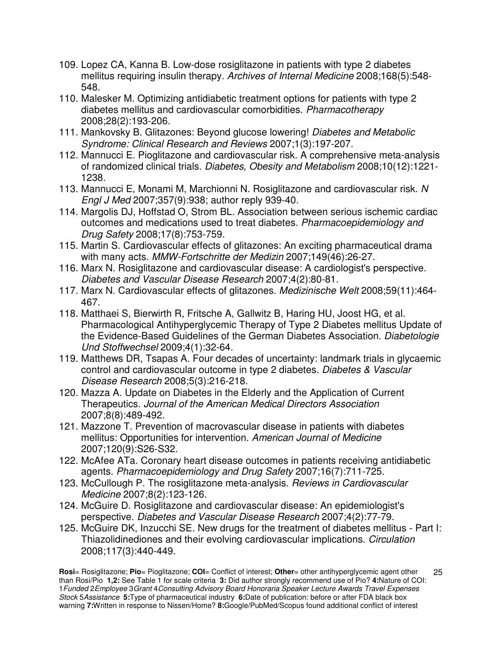- 109. Lopez CA, Kanna B. Low-dose rosiglitazone in patients with type 2 diabetes mellitus requiring insulin therapy. Archives of Internal Medicine 2008;168(5):548- 548.
- 110. Malesker M. Optimizing antidiabetic treatment options for patients with type 2 diabetes mellitus and cardiovascular comorbidities. Pharmacotherapy 2008;28(2):193-206.
- 111. Mankovsky B. Glitazones: Beyond glucose lowering! Diabetes and Metabolic Syndrome: Clinical Research and Reviews 2007;1(3):197-207.
- 112. Mannucci E. Pioglitazone and cardiovascular risk. A comprehensive meta-analysis of randomized clinical trials. Diabetes, Obesity and Metabolism 2008;10(12):1221- 1238.
- 113. Mannucci E, Monami M, Marchionni N. Rosiglitazone and cardiovascular risk. N Engl J Med 2007;357(9):938; author reply 939-40.
- 114. Margolis DJ, Hoffstad O, Strom BL. Association between serious ischemic cardiac outcomes and medications used to treat diabetes. Pharmacoepidemiology and Drug Safety 2008;17(8):753-759.
- 115. Martin S. Cardiovascular effects of glitazones: An exciting pharmaceutical drama with many acts. MMW-Fortschritte der Medizin 2007;149(46):26-27.
- 116. Marx N. Rosiglitazone and cardiovascular disease: A cardiologist's perspective. Diabetes and Vascular Disease Research 2007;4(2):80-81.
- 117. Marx N. Cardiovascular effects of glitazones. Medizinische Welt 2008;59(11):464- 467.
- 118. Matthaei S, Bierwirth R, Fritsche A, Gallwitz B, Haring HU, Joost HG, et al. Pharmacological Antihyperglycemic Therapy of Type 2 Diabetes mellitus Update of the Evidence-Based Guidelines of the German Diabetes Association. Diabetologie Und Stoffwechsel 2009;4(1):32-64.
- 119. Matthews DR, Tsapas A. Four decades of uncertainty: landmark trials in glycaemic control and cardiovascular outcome in type 2 diabetes. Diabetes & Vascular Disease Research 2008;5(3):216-218.
- 120. Mazza A. Update on Diabetes in the Elderly and the Application of Current Therapeutics. Journal of the American Medical Directors Association 2007;8(8):489-492.
- 121. Mazzone T. Prevention of macrovascular disease in patients with diabetes mellitus: Opportunities for intervention. American Journal of Medicine 2007;120(9):S26-S32.
- 122. McAfee ATa. Coronary heart disease outcomes in patients receiving antidiabetic agents. Pharmacoepidemiology and Drug Safety 2007;16(7):711-725.
- 123. McCullough P. The rosiglitazone meta-analysis. Reviews in Cardiovascular Medicine 2007;8(2):123-126.
- 124. McGuire D. Rosiglitazone and cardiovascular disease: An epidemiologist's perspective. Diabetes and Vascular Disease Research 2007;4(2):77-79.
- 125. McGuire DK, Inzucchi SE. New drugs for the treatment of diabetes mellitus Part I: Thiazolidinediones and their evolving cardiovascular implications. Circulation 2008;117(3):440-449.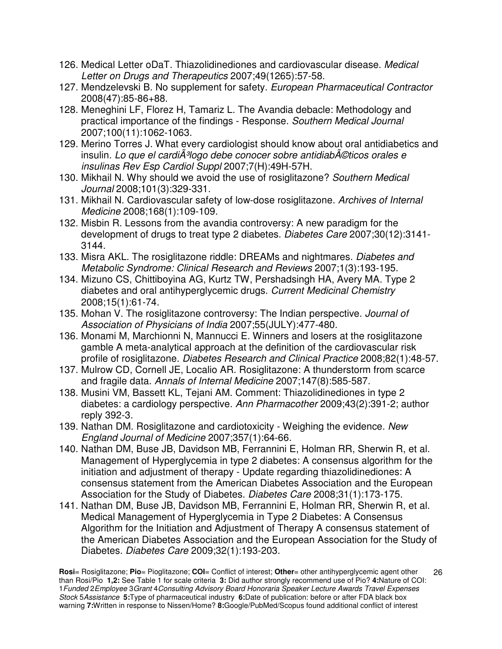- 126. Medical Letter oDaT. Thiazolidinediones and cardiovascular disease. Medical Letter on Drugs and Therapeutics 2007;49(1265):57-58.
- 127. Mendzelevski B. No supplement for safety. European Pharmaceutical Contractor 2008(47):85-86+88.
- 128. Meneghini LF, Florez H, Tamariz L. The Avandia debacle: Methodology and practical importance of the findings - Response. Southern Medical Journal 2007;100(11):1062-1063.
- 129. Merino Torres J. What every cardiologist should know about oral antidiabetics and insulin. Lo que el cardi $\tilde{A}$ <sup>3</sup>logo debe conocer sobre antidiab $\tilde{A}$ ©ticos orales e insulinas Rev Esp Cardiol Suppl 2007;7(H):49H-57H.
- 130. Mikhail N. Why should we avoid the use of rosiglitazone? Southern Medical Journal 2008;101(3):329-331.
- 131. Mikhail N. Cardiovascular safety of low-dose rosiglitazone. Archives of Internal Medicine 2008;168(1):109-109.
- 132. Misbin R. Lessons from the avandia controversy: A new paradigm for the development of drugs to treat type 2 diabetes. Diabetes Care 2007;30(12):3141- 3144.
- 133. Misra AKL. The rosiglitazone riddle: DREAMs and nightmares. Diabetes and Metabolic Syndrome: Clinical Research and Reviews 2007;1(3):193-195.
- 134. Mizuno CS, Chittiboyina AG, Kurtz TW, Pershadsingh HA, Avery MA. Type 2 diabetes and oral antihyperglycemic drugs. Current Medicinal Chemistry 2008;15(1):61-74.
- 135. Mohan V. The rosiglitazone controversy: The Indian perspective. Journal of Association of Physicians of India 2007;55(JULY):477-480.
- 136. Monami M, Marchionni N, Mannucci E. Winners and losers at the rosiglitazone gamble A meta-analytical approach at the definition of the cardiovascular risk profile of rosiglitazone. Diabetes Research and Clinical Practice 2008;82(1):48-57.
- 137. Mulrow CD, Cornell JE, Localio AR. Rosiglitazone: A thunderstorm from scarce and fragile data. Annals of Internal Medicine 2007;147(8):585-587.
- 138. Musini VM, Bassett KL, Tejani AM. Comment: Thiazolidinediones in type 2 diabetes: a cardiology perspective. Ann Pharmacother 2009;43(2):391-2; author reply 392-3.
- 139. Nathan DM. Rosiglitazone and cardiotoxicity Weighing the evidence. New England Journal of Medicine 2007;357(1):64-66.
- 140. Nathan DM, Buse JB, Davidson MB, Ferrannini E, Holman RR, Sherwin R, et al. Management of Hyperglycemia in type 2 diabetes: A consensus algorithm for the initiation and adjustment of therapy - Update regarding thiazolidinediones: A consensus statement from the American Diabetes Association and the European Association for the Study of Diabetes. Diabetes Care 2008;31(1):173-175.
- 141. Nathan DM, Buse JB, Davidson MB, Ferrannini E, Holman RR, Sherwin R, et al. Medical Management of Hyperglycemia in Type 2 Diabetes: A Consensus Algorithm for the Initiation and Adjustment of Therapy A consensus statement of the American Diabetes Association and the European Association for the Study of Diabetes. Diabetes Care 2009;32(1):193-203.

**Rosi**= Rosiglitazone; **Pio**= Pioglitazone; **COI**= Conflict of interest; **Other**= other antihyperglycemic agent other than Rosi/Pio **1,2:** See Table 1 for scale criteria **3:** Did author strongly recommend use of Pio? **4:**Nature of COI: 1Funded 2Employee 3Grant 4Consulting Advisory Board Honoraria Speaker Lecture Awards Travel Expenses Stock 5Assistance **5:**Type of pharmaceutical industry **6:**Date of publication: before or after FDA black box warning **7:**Written in response to Nissen/Home? **8:**Google/PubMed/Scopus found additional conflict of interest 26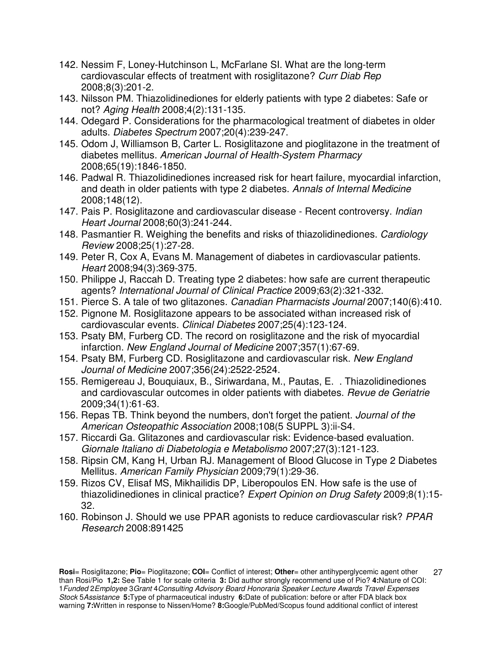- 142. Nessim F, Loney-Hutchinson L, McFarlane SI. What are the long-term cardiovascular effects of treatment with rosiglitazone? Curr Diab Rep 2008;8(3):201-2.
- 143. Nilsson PM. Thiazolidinediones for elderly patients with type 2 diabetes: Safe or not? Aging Health 2008;4(2):131-135.
- 144. Odegard P. Considerations for the pharmacological treatment of diabetes in older adults. Diabetes Spectrum 2007;20(4):239-247.
- 145. Odom J, Williamson B, Carter L. Rosiglitazone and pioglitazone in the treatment of diabetes mellitus. American Journal of Health-System Pharmacy 2008;65(19):1846-1850.
- 146. Padwal R. Thiazolidinediones increased risk for heart failure, myocardial infarction, and death in older patients with type 2 diabetes. Annals of Internal Medicine 2008;148(12).
- 147. Pais P. Rosiglitazone and cardiovascular disease Recent controversy. Indian Heart Journal 2008;60(3):241-244.
- 148. Pasmantier R. Weighing the benefits and risks of thiazolidinediones. Cardiology Review 2008;25(1):27-28.
- 149. Peter R, Cox A, Evans M. Management of diabetes in cardiovascular patients. Heart 2008;94(3):369-375.
- 150. Philippe J, Raccah D. Treating type 2 diabetes: how safe are current therapeutic agents? International Journal of Clinical Practice 2009;63(2):321-332.
- 151. Pierce S. A tale of two glitazones. Canadian Pharmacists Journal 2007;140(6):410.
- 152. Pignone M. Rosiglitazone appears to be associated withan increased risk of cardiovascular events. Clinical Diabetes 2007;25(4):123-124.
- 153. Psaty BM, Furberg CD. The record on rosiglitazone and the risk of myocardial infarction. New England Journal of Medicine 2007;357(1):67-69.
- 154. Psaty BM, Furberg CD. Rosiglitazone and cardiovascular risk. New England Journal of Medicine 2007;356(24):2522-2524.
- 155. Remigereau J, Bouquiaux, B., Siriwardana, M., Pautas, E. . Thiazolidinediones and cardiovascular outcomes in older patients with diabetes. Revue de Geriatrie 2009;34(1):61-63.
- 156. Repas TB. Think beyond the numbers, don't forget the patient. Journal of the American Osteopathic Association 2008;108(5 SUPPL 3):ii-S4.
- 157. Riccardi Ga. Glitazones and cardiovascular risk: Evidence-based evaluation. Giornale Italiano di Diabetologia e Metabolismo 2007;27(3):121-123.
- 158. Ripsin CM, Kang H, Urban RJ. Management of Blood Glucose in Type 2 Diabetes Mellitus. American Family Physician 2009;79(1):29-36.
- 159. Rizos CV, Elisaf MS, Mikhailidis DP, Liberopoulos EN. How safe is the use of thiazolidinediones in clinical practice? Expert Opinion on Drug Safety 2009;8(1):15-32.
- 160. Robinson J. Should we use PPAR agonists to reduce cardiovascular risk? PPAR Research 2008:891425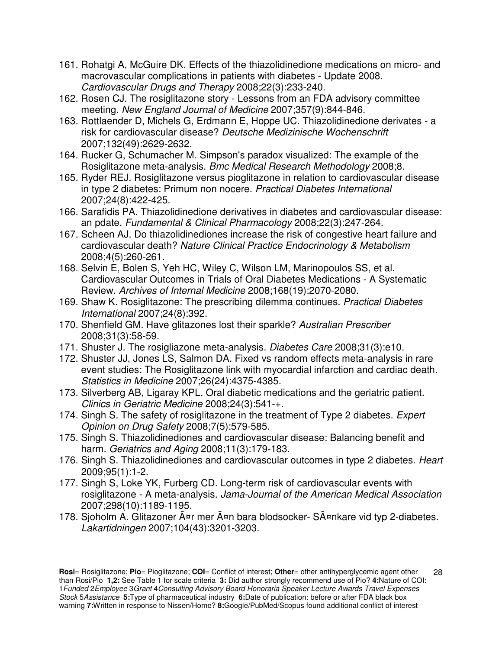- 161. Rohatgi A, McGuire DK. Effects of the thiazolidinedione medications on micro- and macrovascular complications in patients with diabetes - Update 2008. Cardiovascular Drugs and Therapy 2008;22(3):233-240.
- 162. Rosen CJ. The rosiglitazone story Lessons from an FDA advisory committee meeting. New England Journal of Medicine 2007;357(9):844-846.
- 163. Rottlaender D, Michels G, Erdmann E, Hoppe UC. Thiazolidinedione derivates a risk for cardiovascular disease? Deutsche Medizinische Wochenschrift 2007;132(49):2629-2632.
- 164. Rucker G, Schumacher M. Simpson's paradox visualized: The example of the Rosiglitazone meta-analysis. Bmc Medical Research Methodology 2008;8.
- 165. Ryder REJ. Rosiglitazone versus pioglitazone in relation to cardiovascular disease in type 2 diabetes: Primum non nocere. Practical Diabetes International 2007;24(8):422-425.
- 166. Sarafidis PA. Thiazolidinedione derivatives in diabetes and cardiovascular disease: an pdate. Fundamental & Clinical Pharmacology 2008;22(3):247-264.
- 167. Scheen AJ. Do thiazolidinediones increase the risk of congestive heart failure and cardiovascular death? Nature Clinical Practice Endocrinology & Metabolism 2008;4(5):260-261.
- 168. Selvin E, Bolen S, Yeh HC, Wiley C, Wilson LM, Marinopoulos SS, et al. Cardiovascular Outcomes in Trials of Oral Diabetes Medications - A Systematic Review. Archives of Internal Medicine 2008;168(19):2070-2080.
- 169. Shaw K. Rosiglitazone: The prescribing dilemma continues. Practical Diabetes International 2007;24(8):392.
- 170. Shenfield GM. Have glitazones lost their sparkle? Australian Prescriber 2008;31(3):58-59.
- 171. Shuster J. The rosigliazone meta-analysis. Diabetes Care 2008;31(3):e10.
- 172. Shuster JJ, Jones LS, Salmon DA. Fixed vs random effects meta-analysis in rare event studies: The Rosiglitazone link with myocardial infarction and cardiac death. Statistics in Medicine 2007;26(24):4375-4385.
- 173. Silverberg AB, Ligaray KPL. Oral diabetic medications and the geriatric patient. Clinics in Geriatric Medicine 2008;24(3):541-+.
- 174. Singh S. The safety of rosiglitazone in the treatment of Type 2 diabetes. Expert Opinion on Drug Safety 2008;7(5):579-585.
- 175. Singh S. Thiazolidinediones and cardiovascular disease: Balancing benefit and harm. Geriatrics and Aging 2008;11(3):179-183.
- 176. Singh S. Thiazolidinediones and cardiovascular outcomes in type 2 diabetes. Heart 2009;95(1):1-2.
- 177. Singh S, Loke YK, Furberg CD. Long-term risk of cardiovascular events with rosiglitazone - A meta-analysis. Jama-Journal of the American Medical Association 2007;298(10):1189-1195.
- 178. Sjoholm A. Glitazoner Ĥr mer Ĥn bara blodsocker- SĤnkare vid typ 2-diabetes. Lakartidningen 2007;104(43):3201-3203.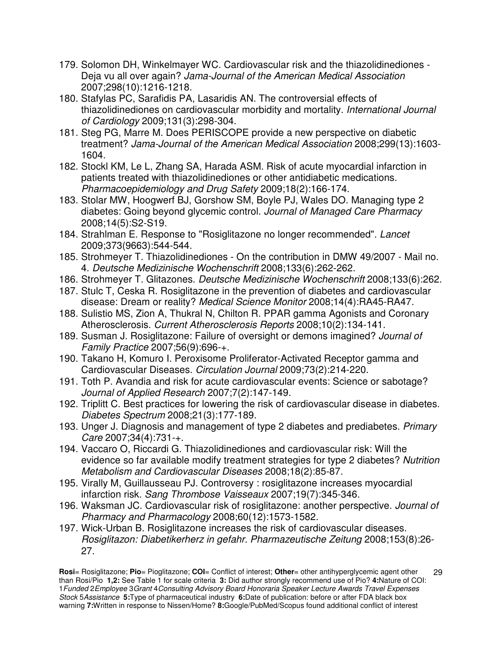- 179. Solomon DH, Winkelmayer WC. Cardiovascular risk and the thiazolidinediones Deja vu all over again? Jama-Journal of the American Medical Association 2007;298(10):1216-1218.
- 180. Stafylas PC, Sarafidis PA, Lasaridis AN. The controversial effects of thiazolidinediones on cardiovascular morbidity and mortality. International Journal of Cardiology 2009;131(3):298-304.
- 181. Steg PG, Marre M. Does PERISCOPE provide a new perspective on diabetic treatment? Jama-Journal of the American Medical Association 2008;299(13):1603- 1604.
- 182. Stockl KM, Le L, Zhang SA, Harada ASM. Risk of acute myocardial infarction in patients treated with thiazolidinediones or other antidiabetic medications. Pharmacoepidemiology and Drug Safety 2009;18(2):166-174.
- 183. Stolar MW, Hoogwerf BJ, Gorshow SM, Boyle PJ, Wales DO. Managing type 2 diabetes: Going beyond glycemic control. Journal of Managed Care Pharmacy 2008;14(5):S2-S19.
- 184. Strahlman E. Response to "Rosiglitazone no longer recommended". Lancet 2009;373(9663):544-544.
- 185. Strohmeyer T. Thiazolidinediones On the contribution in DMW 49/2007 Mail no. 4. Deutsche Medizinische Wochenschrift 2008;133(6):262-262.
- 186. Strohmeyer T. Glitazones. Deutsche Medizinische Wochenschrift 2008;133(6):262.
- 187. Stulc T, Ceska R. Rosiglitazone in the prevention of diabetes and cardiovascular disease: Dream or reality? Medical Science Monitor 2008;14(4):RA45-RA47.
- 188. Sulistio MS, Zion A, Thukral N, Chilton R. PPAR gamma Agonists and Coronary Atherosclerosis. Current Atherosclerosis Reports 2008;10(2):134-141.
- 189. Susman J. Rosiglitazone: Failure of oversight or demons imagined? Journal of Family Practice 2007;56(9):696-+.
- 190. Takano H, Komuro I. Peroxisome Proliferator-Activated Receptor gamma and Cardiovascular Diseases. Circulation Journal 2009;73(2):214-220.
- 191. Toth P. Avandia and risk for acute cardiovascular events: Science or sabotage? Journal of Applied Research 2007;7(2):147-149.
- 192. Triplitt C. Best practices for lowering the risk of cardiovascular disease in diabetes. Diabetes Spectrum 2008;21(3):177-189.
- 193. Unger J. Diagnosis and management of type 2 diabetes and prediabetes. Primary Care 2007;34(4):731-+.
- 194. Vaccaro O, Riccardi G. Thiazolidinediones and cardiovascular risk: Will the evidence so far available modify treatment strategies for type 2 diabetes? Nutrition Metabolism and Cardiovascular Diseases 2008;18(2):85-87.
- 195. Virally M, Guillausseau PJ. Controversy : rosiglitazone increases myocardial infarction risk. Sang Thrombose Vaisseaux 2007;19(7):345-346.
- 196. Waksman JC. Cardiovascular risk of rosiglitazone: another perspective. Journal of Pharmacy and Pharmacology 2008;60(12):1573-1582.
- 197. Wick-Urban B. Rosiglitazone increases the risk of cardiovascular diseases. Rosiglitazon: Diabetikerherz in gefahr. Pharmazeutische Zeitung 2008;153(8):26- 27.